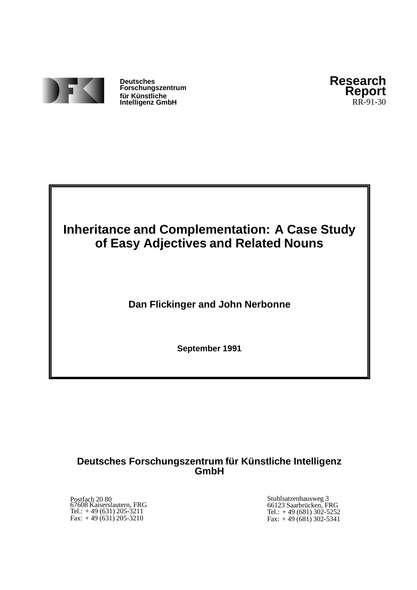

**Deutsches Forschungszentrum fur¨ Kunstliche ¨ Intelligenz GmbH**



# **Inheritance and Complementation: A Case Study of Easy Adjectives and Related Nouns**

**Dan Flickinger and John Nerbonne**

**September 1991**

# **Deutsches Forschungszentrum fur¨ Kunstlic ¨ he Intelligenz GmbH**

Postfach 20 80 67608 Kaiserslautern, FRG Tel.: + 49 (631) 205-3211 Fax: + 49 (631) 205-3210

Stuhlsatzenhausweg 3 66123 Saarbrücken, FRG Tel.: + 49 (681) 302-5252 Fax: + 49 (681) 302-5341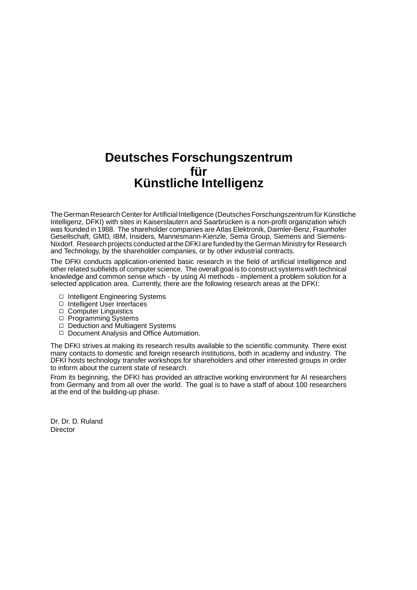# **Deutsches Forschungszentrum** für **Kunstlic ¨ he Intelligenz**

The German Research Center for Artificial Intelligence (Deutsches Forschungszentrum für Künstliche Intelligenz, DFKI) with sites in Kaiserslautern and Saarbrücken is a non-profit organization which was founded in 1988. The shareholder companies are Atlas Elektronik, Daimler-Benz, Fraunhofer Gesellschaft, GMD, IBM, Insiders, Mannesmann-Kienzle, Sema Group, Siemens and Siemens-Nixdorf. Research projects conducted at the DFKI are funded by the German Ministry for Research and Technology, by the shareholder companies, or by other industrial contracts.

The DFKI conducts application-oriented basic research in the field of artificial intelligence and other related subfields of computer science. The overall goal is to construct systems with technical knowledge and common sense which - by using AI methods - implement a problem solution for a selected application area. Currently, there are the following research areas at the DFKI:

- □ Intelligent Engineering Systems
- □ Intelligent User Interfaces
- □ Computer Linguistics
- 
- □ Programming Systems<br>□ Deduction and Multiagent Systems
- □ Document Analysis and Office Automation.

The DFKI strives at making its research results available to the scientific community. There exist many contacts to domestic and foreign research institutions, both in academy and industry. The DFKI hosts technology transfer workshops for shareholders and other interested groups in order to inform about the current state of research.

From its beginning, the DFKI has provided an attractive working environment for AI researchers from Germany and from all over the world. The goal is to have a staff of about 100 researchers at the end of the building-up phase.

Dr. Dr. D. Ruland **Director**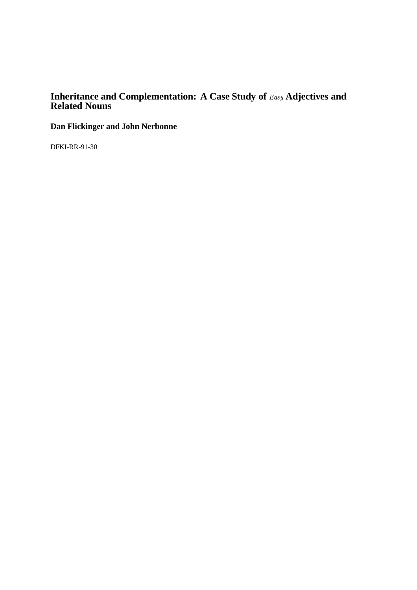# **Inheritance and Complementation: A Case Study of**  $_{Easy}$  **Adjectives and Related Nouns**

**Dan Flickinger and John Nerbonne**

DFKI-RR-91-30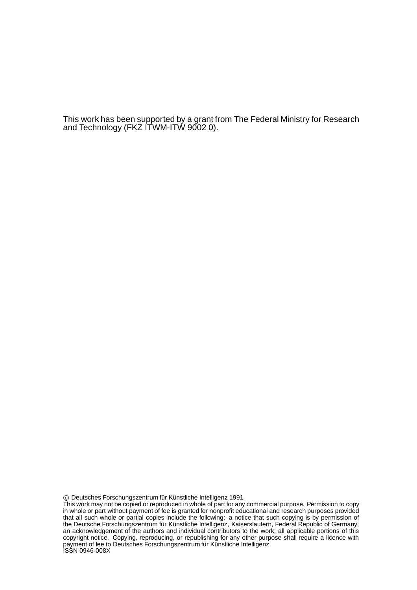This work has been supported by a grant from The Federal Ministry for Research and Technology (FKZ ITWM-ITW 9002 0).

Deutsches Forschungszentrum fur¨ Kunstliche ¨ Intelligenz 1991

This work may not be copied or reproduced in whole of part for any commercial purpose. Permission to copy in whole or part without payment of fee is granted for nonprofit educational and research purposes provided that all such whole or partial copies include the following: a notice that such copying is by permission of the Deutsche Forschungszentrum für Künstliche Intelligenz, Kaiserslautern, Federal Republic of Germany; an acknowledgement of the authors and individual contributors to the work; all applicable portions of this copyright notice. Copying, reproducing, or republishing for any other purpose shall require a licence with payment of fee to Deutsches Forschungszentrum für Künstliche Intelligenz. ISSN 0946-008X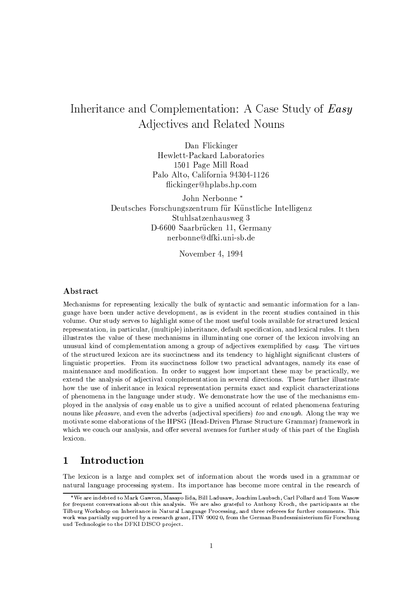# Inheritance and Complementation: A Case Study of Easy Adjectives and Related Nouns

Dan Flickinger Hewlett-Packard Laboratories 1501 Page Mill Road Palo Alto, California 94304-1126 flickinger@hplabs.hp.com

John Nerbonne\* Deutsches Forschungszentrum für Künstliche Intelligenz Stuhlsatzenhausweg 3 D-6600 Saarbrücken 11, Germany nerbonne@dfki.uni-sb.de

November 4, 1994

## Abstract

Mechanisms for representing lexically the bulk of syntactic and semantic information for a language have been under active development, as is evident in the recent studies contained in this volume. Our study serves to highlight some of the most useful tools available for structured lexical representation, in particular, (multiple) inheritance, default specification, and lexical rules. It then illustrates the value of these mechanisms in illuminating one corner of the lexicon involving an unusual kind of complementation among a group of adjectives exemplified by easy. The virtues of the structured lexicon are its succinctness and its tendency to highlight significant clusters of linguistic properties. From its succinctness follow two practical advantages, namely its ease of maintenance and modification. In order to suggest how important these may be practically, we extend the analysis of adjectival complementation in several directions. These further illustrate how the use of inheritance in lexical representation permits exact and explicit characterizations of phenomena in the language under study. We demonstrate how the use of the mechanisms employed in the analysis of easy enable us to give a unified account of related phenomena featuring nouns like pleasure, and even the adverbs (adjectival specifiers) too and enough. Along the way we motivate some elaborations of the HPSG (Head-Driven Phrase Structure Grammar) framework in which we couch our analysis, and offer several avenues for further study of this part of the English lexicon.

#### Introduction  $\mathbf{1}$

The lexicon is a large and complex set of information about the words used in a grammar or natural language processing system. Its importance has become more central in the research of

<sup>\*</sup>We are indebted to Mark Gawron, Masayo Iida, Bill Ladusaw, Joachim Laubsch, Carl Pollard and Tom Wasow for frequent conversations about this analysis. We are also grateful to Anthony Kroch, the participants at the Tilburg Workshop on Inheritance in Natural Language Processing, and three referees for further comments. This work was partially supported by a research grant, ITW 9002 0, from the German Bundesministerium für Forschung und Technologie to the DFKI DISCO project.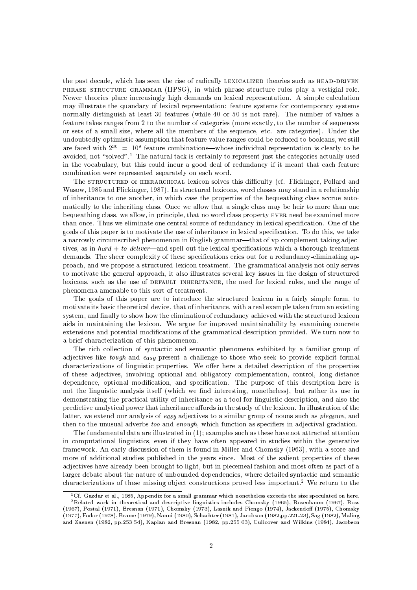the past decade, which has seen the rise of radically LEXICALIZED theories such as HEAD-DRIVEN PHRASE STRUCTURE GRAMMAR (HPSG), in which phrase structure rules play a vestigial role. Newer theories place increasingly high demands on lexical representation. A simple calculation may illustrate the quandary of lexical representation: feature systems for contemporary systems normally distinguish at least 30 features (while 40 or 50 is not rare). The number of values a feature takes ranges from 2 to the number of categories (more exactly, to the number of sequences or sets of a small size, where all the members of the sequence, etc. are categories). Under the undoubtedly optimistic assumption that feature value ranges could be reduced to booleans, we still are faced with  $2^{30} = 10^9$  feature combinations—whose individual representation is clearly to be avoided, not "solved".<sup>1</sup> The natural tack is certainly to represent just the categories actually used in the vocabulary, but this could incur a good deal of redundancy if it meant that each feature combination were represented separately on each word.

The STRUCTURED OF HIERARCHICAL lexicon solves this difficulty (cf. Flickinger, Pollard and Wasow, 1985 and Flickinger, 1987). In structured lexicons, word classes may stand in a relationship of inheritance to one another, in which case the properties of the bequeathing class accrue automatically to the inheriting class. Once we allow that a single class may be heir to more than one bequeathing class, we allow, in principle, that no word class property EVER need be examined more than once. Thus we eliminate one central source of redundancy in lexical specification. One of the goals of this paper is to motivate the use of inheritance in lexical specification. To do this, we take a narrowly circumscribed phenomenon in English grammar—that of vp-complement-taking adjectives, as in  $hard + to$  deliver—and spell out the lexical specifications which a thorough treatment demands. The sheer complexity of these specifications cries out for a redundancy-eliminating approach, and we propose a structured lexicon treatment. The grammatical analysis not only serves to motivate the general approach, it also illustrates several key issues in the design of structured lexicons, such as the use of DEFAULT INHERITANCE, the need for lexical rules, and the range of phenomena amenable to this sort of treatment.

The goals of this paper are to introduce the structured lexicon in a fairly simple form, to motivate its basic theoretical device, that of inheritance, with a real example taken from an existing system, and finally to show how the elimination of redundancy achieved with the structured lexicon aids in maintaining the lexicon. We argue for improved maintainability by examining concrete extensions and potential modifications of the grammatical description provided. We turn now to a brief characterization of this phenomenon.

The rich collection of syntactic and semantic phenomena exhibited by a familiar group of adjectives like *tough* and *easy* present a challenge to those who seek to provide explicit formal characterizations of linguistic properties. We offer here a detailed description of the properties of these adjectives, involving optional and obligatory complementation, control, long-distance dependence, optional modification, and specification. The purpose of this description here is not the linguistic analysis itself (which we find interesting, nonetheless), but rather its use in demonstrating the practical utility of inheritance as a tool for linguistic description, and also the predictive analytical power that inheritance affords in the study of the lexicon. In illustration of the latter, we extend our analysis of easy adjectives to a similar group of nouns such as pleasure, and then to the unusual adverbs too and enough, which function as specifiers in adjectival gradation.

The fundamental data are illustrated in  $(1)$ ; examples such as these have not attracted attention in computational linguistics, even if they have often appeared in studies within the generative framework. An early discussion of them is found in Miller and Chomsky (1963), with a score and more of additional studies published in the years since. Most of the salient properties of these adjectives have already been brought to light, but in piecemeal fashion and most often as part of a larger debate about the nature of unbounded dependencies, where detailed syntactic and semantic characterizations of these missing object constructions proved less important.<sup>2</sup> We return to the

 ${}^{1}$ Cf. Gazdar et al., 1985, Appendix for a small grammar which nonetheless exceeds the size speculated on here.

 ${}^{2}$ Related work in theoretical and descriptive linguistics includes Chomsky (1965), Rosenbaum (1967), Ross (1967), Postal (1971), Bresnan (1971), Chomsky (1973), Lasnik and Fiengo (1974), Jackendoff (1975), Chomsky (1977), Fodor (1978), Brame (1979), Nanni (1980), Schachter (1981), Jacobson (1982,pp.221-23), Sag (1982), Maling and Zaenen (1982, pp.253-54), Kaplan and Bresnan (1982, pp.255-63), Culicover and Wilkins (1984), Jacobson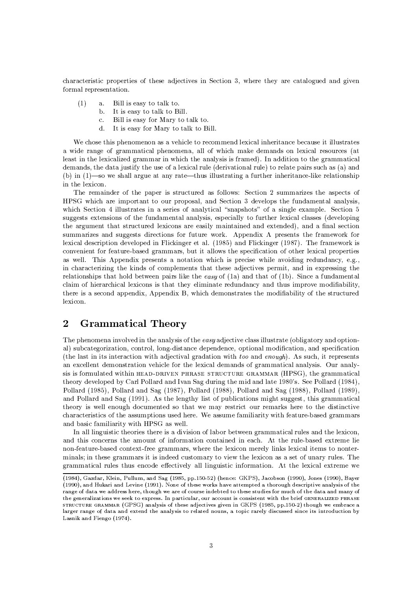characteristic properties of these adjectives in Section 3, where they are catalogued and given formal representation.

- Bill is easy to talk to.  $(1)$ a.
	- b. It is easy to talk to Bill.
	- $\mathcal{C}$ . Bill is easy for Mary to talk to.
	- It is easy for Mary to talk to Bill.  $d_{\perp}$

We chose this phenomenon as a vehicle to recommend lexical inheritance because it illustrates a wide range of grammatical phenomena, all of which make demands on lexical resources (at least in the lexicalized grammar in which the analysis is framed). In addition to the grammatical demands, the data justify the use of a lexical rule (derivational rule) to relate pairs such as (a) and (b) in (1)—so we shall argue at any rate—thus illustrating a further inheritance-like relationship in the lexicon.

The remainder of the paper is structured as follows: Section 2 summarizes the aspects of HPSG which are important to our proposal, and Section 3 develops the fundamental analysis, which Section 4 illustrates in a series of analytical "snapshots" of a single example. Section 5 suggests extensions of the fundamental analysis, especially to further lexical classes (developing the argument that structured lexicons are easily maintained and extended), and a final section summarizes and suggests directions for future work. Appendix A presents the framework for lexical description developed in Flickinger et al. (1985) and Flickinger (1987). The framework is convenient for feature-based grammars, but it allows the specification of other lexical properties as well. This Appendix presents a notation which is precise while avoiding redundancy, e.g., in characterizing the kinds of complements that these adjectives permit, and in expressing the relationships that hold between pairs like the easy of  $(1a)$  and that of  $(1b)$ . Since a fundamental claim of hierarchical lexicons is that they eliminate redundancy and thus improve modifiability, there is a second appendix, Appendix B, which demonstrates the modifiability of the structured lexicon.

#### $\overline{2}$ **Grammatical Theory**

The phenomena involved in the analysis of the easy adjective class illustrate (obligatory and optional) subcategorization, control, long-distance dependence, optional modification, and specification (the last in its interaction with adjectival gradation with too and enough). As such, it represents an excellent demonstration vehicle for the lexical demands of grammatical analysis. Our analysis is formulated within HEAD-DRIVEN PHRASE STRUCTURE GRAMMAR (HPSG), the grammatical theory developed by Carl Pollard and Ivan Sag during the mid and late 1980's. See Pollard (1984), Pollard (1985), Pollard and Sag (1987), Pollard (1988), Pollard and Sag (1988), Pollard (1989), and Pollard and Sag (1991). As the lengthy list of publications might suggest, this grammatical theory is well enough documented so that we may restrict our remarks here to the distinctive characteristics of the assumptions used here. We assume familiarity with feature-based grammars and basic familiarity with HPSG as well.

In all linguistic theories there is a division of labor between grammatical rules and the lexicon, and this concerns the amount of information contained in each. At the rule-based extreme lie non-feature-based context-free grammars, where the lexicon merely links lexical items to nonterminals; in these grammars it is indeed customary to view the lexicon as a set of unary rules. The grammatical rules thus encode effectively all linguistic information. At the lexical extreme we

<sup>(1984),</sup> Gazdar, Klein, Pullum, and Sag (1985, pp.150-52) (hence: GKPS), Jacobson (1990), Jones (1990), Baver (1990), and Hukari and Levine (1991). None of these works have attempted a thorough descriptive analysis of the range of data we address here, though we are of course indebted to these studies for much of the data and many of the generalizations we seek to express. In particular, our account is consistent with the brief GENERALIZED PHRASE STRUCTURE GRAMMAR (GPSG) analysis of these adjectives given in GKPS (1985, pp.150-2) though we embrace a larger range of data and extend the analysis to related nouns, a topic rarely discussed since its introduction by Lasnik and Fiengo (1974).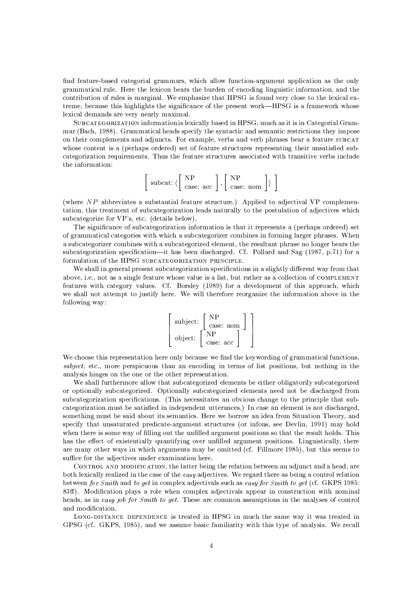find feature-based categorial grammars, which allow function-argument application as the only grammatical rule. Here the lexicon bears the burden of encoding linguistic information, and the contribution of rules is marginal. We emphasize that HPSG is found very close to the lexical extreme, because this highlights the significance of the present work—HPSG is a framework whose lexical demands are very nearly maximal.

SUBCATEGORIZATION information is lexically based in HPSG, much as it is in Categorial Grammar (Bach, 1988). Grammatical heads specify the syntactic and semantic restrictions they impose on their complements and adjuncts. For example, verbs and verb phrases bear a feature subcar whose content is a (perhaps ordered) set of feature structures representing their unsatisfied subcategorization requirements. Thus the feature structures associated with transitive verbs include the information:

$$
\left[\begin{array}{c} \text{subset: } \left(\begin{array}{c} \text{NP} \\ \text{case: } \text{acc}\end{array}\right), \left[\begin{array}{c} \text{NP} \\ \text{case: } \text{nom}\end{array}\right] \rangle \end{array}\right]
$$

(where NP abbreviates a substantial feature structure.) Applied to adjectival VP complementation, this treatment of subcategorization leads naturally to the postulation of adjectives which subcategorize for VP's, etc. (details below).

The significance of subcategorization information is that it represents a (perhaps ordered) set of grammatical categories with which a subcategorizer combines in forming larger phrases. When a subcategorizer combines with a subcategorized element, the resultant phrase no longer bears the subcategorization specification—it has been discharged. Cf. Pollard and Sag (1987, p.71) for a formulation of the HPSG SUBCATEGORIZATION PRINCIPLE.

We shall in general present subcategorization specifications in a slightly different way from that above, i.e., not as a single feature whose value is a list, but rather as a collection of COMPLEMENT features with category values. Cf. Borsley (1989) for a development of this approach, which we shall not attempt to justify here. We will therefore reorganize the information above in the following way:

$$
\left[\begin{array}{c} \text{subject:} \left[\begin{array}{c} \text{NP} \\ \text{case: nom} \end{array}\right] \\ \text{object:} \left[\begin{array}{c} \text{NP} \\ \text{NP} \\ \text{case: acc} \end{array}\right] \end{array}\right]
$$

We choose this representation here only because we find the keywording of grammatical functions, *subject*, etc., more perspicuous than an encoding in terms of list positions, but nothing in the analysis hinges on the one or the other representation.

We shall furthermore allow that subcategorized elements be either obligatorily subcategorized or optionally subcategorized. Optionally subcategorized elements need not be discharged from subcategorization specifications. (This necessitates an obvious change to the principle that subcategorization must be satisfied in independent utterances.) In case an element is not discharged, something must be said about its semantics. Here we borrow an idea from Situation Theory, and specify that unsaturated predicate-argument structures (or infons, see Devlin, 1991) may hold when there is some way of filling out the unfilled argument positions so that the result holds. This has the effect of existentially quantifying over unfilled argument positions. Linguistically, there are many other ways in which arguments may be omitted (cf. Fillmore 1985), but this seems to suffice for the adjectives under examination here.

CONTROL AND MODIFICATION, the latter being the relation between an adjunct and a head, are both lexically realized in the case of the easy adjectives. We regard there as being a control relation between for Smith and to get in complex adjectivals such as easy for Smith to get (cf. GKPS 1985: 83ff). Modification plays a role when complex adjectivals appear in construction with nominal heads, as in easy job for Smith to get. These are common assumptions in the analyses of control and modification.

LONG-DISTANCE DEPENDENCE is treated in HPSG in much the same way it was treated in GPSG (cf. GKPS, 1985), and we assume basic familiarity with this type of analysis. We recall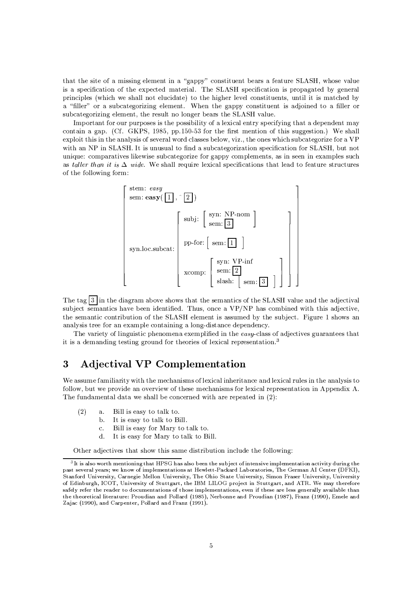that the site of a missing element in a "gappy" constituent bears a feature SLASH, whose value is a specification of the expected material. The SLASH specification is propagated by general principles (which we shall not elucidate) to the higher level constituents, until it is matched by a "filler" or a subcategorizing element. When the gappy constituent is adjoined to a filler or subcategorizing element, the result no longer bears the SLASH value.

Important for our purposes is the possibility of a lexical entry specifying that a dependent may contain a gap. (Cf. GKPS, 1985, pp. 150-53 for the first mention of this suggestion.) We shall exploit this in the analysis of several word classes below, yiz., the ones which subcategorize for a VP with an NP in SLASH. It is unusual to find a subcategorization specification for SLASH, but not unique: comparatives likewise subcategorize for gappy complements, as in seen in examples such as taller than it is  $\Delta$  wide. We shall require lexical specifications that lead to feature structures of the following form:



The tag  $\boxed{3}$  in the diagram above shows that the semantics of the SLASH value and the adjectival subject semantics have been identified. Thus, once a VP/NP has combined with this adjective, the semantic contribution of the SLASH element is assumed by the subject. Figure 1 shows an analysis tree for an example containing a long-distance dependency.

The variety of linguistic phenomena exemplified in the easy-class of adjectives guarantees that it is a demanding testing ground for theories of lexical representation.<sup>3</sup>

### **Adjectival VP Complementation** 3

We assume familiarity with the mechanisms of lexical inheritance and lexical rules in the analysis to follow, but we provide an overview of these mechanisms for lexical representation in Appendix A. The fundamental data we shall be concerned with are repeated in (2):

- $(2)$ Bill is easy to talk to.  $a<sub>1</sub>$ 
	- It is easy to talk to Bill.  $h$
	- Bill is easy for Mary to talk to.  $\overline{c}$ .
	- It is easy for Mary to talk to Bill.  $d$ .

Other adjectives that show this same distribution include the following:

<sup>&</sup>lt;sup>3</sup>It is also worth mentioning that HPSG has also been the subject of intensive implementation activity during the past several years; we know of implementations at Hewlett-Packard Laboratories, The German AI Center (DFKI), Stanford University, Carnegie Mellon University, The Ohio State University, Simon Fraser University, University of Edinburgh, ICOT, University of Stuttgart, the IBM LILOG project in Stuttgart, and ATR. We may therefore safely refer the reader to documentations of those implementations, even if these are less generally available than the theoretical literature: Proudian and Pollard (1985), Nerbonne and Proudian (1987), Franz (1990), Emele and Zajac (1990), and Carpenter, Pollard and Franz (1991).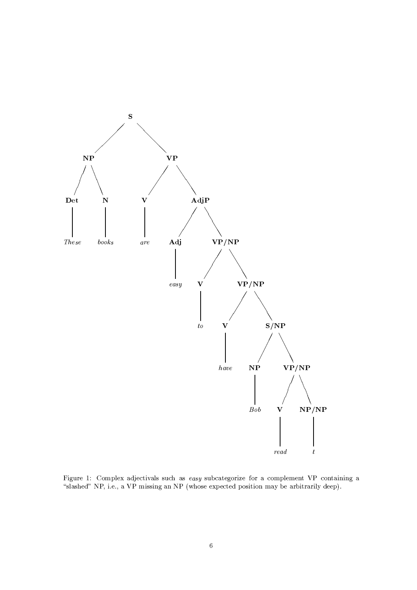

Figure 1: Complex adjectivals such as easy subcategorize for a complement VP containing a "slashed" NP, i.e., a VP missing an NP (whose expected position may be arbitrarily deep).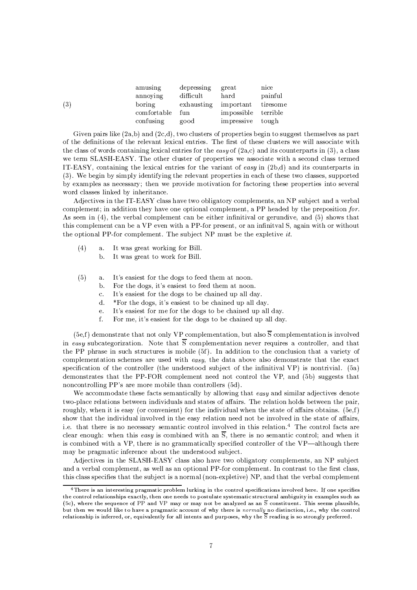| amusing     | depressing | great               | nice     |
|-------------|------------|---------------------|----------|
| annoying    | difficult  | hard                | painful  |
| boring      | exhausting | important           | tiresome |
| comfortable | fun        | impossible terrible |          |
| confusing   | good       | impressive tough    |          |
|             |            |                     |          |

Given pairs like  $(2a,b)$  and  $(2c,d)$ , two clusters of properties begin to suggest themselves as part of the definitions of the relevant lexical entries. The first of these clusters we will associate with the class of words containing lexical entries for the easy of  $(2a,c)$  and its counterparts in (3), a class we term SLASH-EASY. The other cluster of properties we associate with a second class termed IT-EASY, containing the lexical entries for the variant of easy in  $(2b,d)$  and its counterparts in (3). We begin by simply identifying the relevant properties in each of these two classes, supported by examples as necessary; then we provide motivation for factoring these properties into several word classes linked by inheritance.

Adjectives in the IT-EASY class have two obligatory complements, an NP subject and a verbal complement; in addition they have one optional complement, a PP headed by the preposition for. As seen in (4), the verbal complement can be either infinitival or gerundive, and (5) shows that this complement can be a VP even with a PP-for present, or an infinitual S, again with or without the optional PP-for complement. The subject NP must be the expletive it.

 $(4)$ It was great working for Bill. a.

 $(3)$ 

- $\mathbf b$ . It was great to work for Bill.
- $(5)$ It's easiest for the dogs to feed them at noon.  $\mathbf{a}$ .
	- $<sub>b</sub>$ .</sub> For the dogs, it's easiest to feed them at noon.
		- It's easiest for the dogs to be chained up all day.  $\overline{c}$ .
		- $\mathbf{d}$ . \*For the dogs, it's easiest to be chained up all day.
		- It's easiest for me for the dogs to be chained up all day.  $\ddot{\text{e}}$ .
		- $f$ . For me, it's easiest for the dogs to be chained up all day.

(5e,f) demonstrate that not only VP complementation, but also  $\overline{S}$  complementation is involved in easy subcategorization. Note that  $\overline{S}$  complementation never requires a controller, and that the PP phrase in such structures is mobile (5f). In addition to the conclusion that a variety of complementation schemes are used with easy, the data above also demonstrate that the exact specification of the controller (the understood subject of the infinitival VP) is nontrivial. (5a) demonstrates that the PP-FOR complement need not control the VP, and (5b) suggests that noncontrolling PP's are more mobile than controllers (5d).

We accommodate these facts semantically by allowing that easy and similar adjectives denote two-place relations between individuals and states of affairs. The relation holds between the pair, roughly, when it is easy (or convenient) for the individual when the state of affairs obtains.  $(5e,f)$ show that the individual involved in the easy relation need not be involved in the state of affairs. i.e. that there is no necessary semantic control involved in this relation.<sup>4</sup> The control facts are clear enough: when this easy is combined with an  $\overline{S}$ , there is no semantic control; and when it is combined with a VP, there is no grammatically specified controller of the VP—although there may be pragmatic inference about the understood subject.

Adjectives in the SLASH-EASY class also have two obligatory complements, an NP subject and a verbal complement, as well as an optional PP-for complement. In contrast to the first class, this class specifies that the subject is a normal (non-expletive) NP, and that the verbal complement

<sup>&</sup>lt;sup>4</sup>There is an interesting pragmatic problem lurking in the control specifications involved here. If one specifies the control relationships exactly, then one needs to postulate systematic structural ambiguity in examples such as (5c), where the sequence of PP and VP may or may not be analyzed as an  $\overline{S}$  constituent. This seems plausible, but then we would like to have a pragmatic account of why there is normally no distinction, i.e., why the control relationship is inferred, or, equivalently for all intents and purposes, why the  $\overline{S}$  reading is so strongly preferred.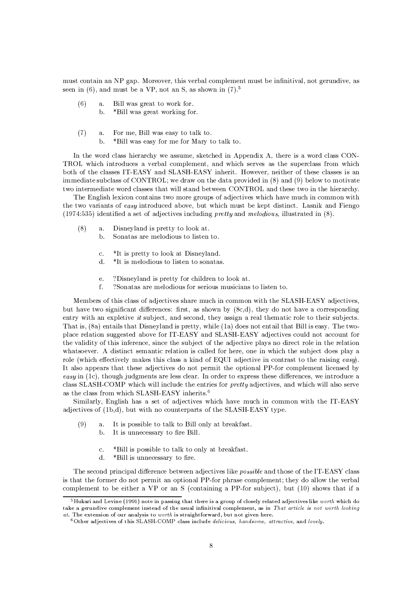must contain an NP gap. Moreover, this verbal complement must be infinitival, not gerundive, as seen in  $(6)$ , and must be a VP, not an S, as shown in  $(7).<sup>5</sup>$ 

- $(6)$ Bill was great to work for. a.
	- $<sub>b</sub>$ .</sub> \*Bill was great working for.
- $(7)$ For me, Bill was easy to talk to.  $\mathbf{a}$ .
	- $<sub>b</sub>$ </sub> \*Bill was easy for me for Mary to talk to.

In the word class hierarchy we assume, sketched in Appendix A, there is a word class CON-TROL which introduces a verbal complement, and which serves as the superclass from which both of the classes IT-EASY and SLASH-EASY inherit. However, neither of these classes is an immediate subclass of CONTROL; we draw on the data provided in  $(8)$  and  $(9)$  below to motivate two intermediate word classes that will stand between CONTROL and these two in the hierarchy.

The English lexicon contains two more groups of adjectives which have much in common with the two variants of easy introduced above, but which must be kept distinct. Lasnik and Fiengo  $(1974:535)$  identified a set of adjectives including *pretty* and *melodious*, illustrated in  $(8)$ .

- $(8)$ Disneyland is pretty to look at.  $a<sub>1</sub>$ 
	- Sonatas are melodious to listen to.  $\mathbf{h}$ 
		- \*It is pretty to look at Disneyland.  $\bar{c}$  .
		- d. \*It is melodious to listen to sonatas.
		- ?Disneyland is pretty for children to look at. e.
		- ?Sonatas are melodious for serious musicians to listen to. f.

Members of this class of adjectives share much in common with the SLASH-EASY adjectives, but have two significant differences: first, as shown by (8c,d), they do not have a corresponding entry with an expletive it subject, and second, they assign a real thematic role to their subjects. That is, (8a) entails that Disneyland is pretty, while (1a) does not entail that Bill is easy. The twoplace relation suggested above for IT-EASY and SLASH-EASY adjectives could not account for the validity of this inference, since the subject of the adjective plays no direct role in the relation whatsoever. A distinct semantic relation is called for here, one in which the subject does play a role (which effectively makes this class a kind of EQUI adjective in contrast to the raising easy). It also appears that these adjectives do not permit the optional PP-for complement licensed by easy in (1c), though judgments are less clear. In order to express these differences, we introduce a class SLASH-COMP which will include the entries for *pretty* adjectives, and which will also serve as the class from which SLASH-EASY inherits.<sup>6</sup>

Similarly, English has a set of adjectives which have much in common with the IT-EASY adjectives of (1b,d), but with no counterparts of the SLASH-EASY type.

- $(9)$ It is possible to talk to Bill only at breakfast.  $\mathbf{a}$ .
	- It is unnecessary to fire Bill. b.
	- \*Bill is possible to talk to only at breakfast.  $\bar{c}$  .
	- d. \*Bill is unnecessary to fire.

The second principal difference between adjectives like *possible* and those of the IT-EASY class is that the former do not permit an optional PP-for phrase complement; they do allow the verbal complement to be either a VP or an S (containing a PP-for subject), but (10) shows that if a

 $5$ Hukari and Levine (1991) note in passing that there is a group of closely related adjectives like worth which do take a gerundive complement instead of the usual infinitival complement, as in That article is not worth looking at. The extension of our analysis to worth is straightforward, but not given here.<br><sup>6</sup>Other adjectives of this SLASH-COMP class include *delicious*, *handsome*, *attractive*, and *lovely*.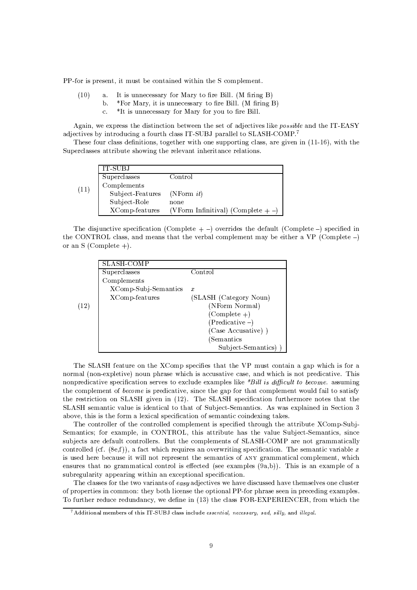PP-for is present, it must be contained within the S complement.

- $(10)$ It is unnecessary for Mary to fire Bill. (M firing B)  $\mathbf{a}$ .
	- \*For Mary, it is unnecessary to fire Bill. (M firing B) b.
		- \*It is unnecessary for Mary for you to fire Bill.  $\mathcal{C}$ .

Again, we express the distinction between the set of adjectives like possible and the IT-EASY adjectives by introducing a fourth class IT-SUBJ parallel to SLASH-COMP.7

These four class definitions, together with one supporting class, are given in  $(11-16)$ , with the Superclasses attribute showing the relevant inheritance relations.

|      | IT-SUBJ          |                                          |
|------|------------------|------------------------------------------|
|      | Superclasses     | Control                                  |
| (11) | Complements      |                                          |
|      | Subject-Features | (NForm it)                               |
|      | Subject-Role     | none                                     |
|      | XComp-features   | (VForm Infinitival) (Complete $+$ -) $ $ |

The disjunctive specification (Complete  $+$  -) overrides the default (Complete -) specified in the CONTROL class, and means that the verbal complement may be either a VP (Complete  $-$ ) or an S (Complete  $+)$ .

| Control                |
|------------------------|
|                        |
| x                      |
| (SLASH (Category Noun) |
| (NForm Normal)         |
| $(Complete +)$         |
| $(Predictive -)$       |
| (Case Accusative))     |
| (Semantics)            |
| Subject-Semantics)     |
|                        |

 $(12)$ 

The SLASH feature on the XComp specifies that the VP must contain a gap which is for a normal (non-expletive) noun phrase which is accusative case, and which is not predicative. This nonpredicative specification serves to exclude examples like \*Bill is difficult to become. assuming the complement of become is predicative, since the gap for that complement would fail to satisfy the restriction on SLASH given in (12). The SLASH specification furthermore notes that the SLASH semantic value is identical to that of Subject-Semantics. As was explained in Section 3 above, this is the form a lexical specification of semantic coindexing takes.

The controller of the controlled complement is specified through the attribute XComp-Subj-Semantics; for example, in CONTROL, this attribute has the value Subject-Semantics, since subjects are default controllers. But the complements of SLASH-COMP are not grammatically controlled (cf.  $(8e,f)$ ), a fact which requires an overwriting specification. The semantic variable x is used here because it will not represent the semantics of ANY grammatical complement, which ensures that no grammatical control is effected (see examples  $(9a,b)$ ). This is an example of a subregularity appearing within an exceptional specification.

The classes for the two variants of easy adjectives we have discussed have themselves one cluster of properties in common: they both license the optional PP-for phrase seen in preceding examples. To further reduce redundancy, we define in (13) the class FOR-EXPERIENCER, from which the

<sup>7</sup> Additional members of this IT-SUBJ class include essential, necessary, sad, silly, and illegal.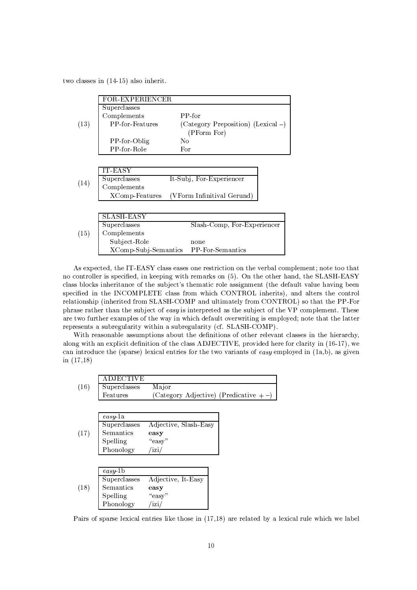two classes in  $(14-15)$  also inherit.

|      | <b>FOR-EXPERIENCER</b>                |                                    |
|------|---------------------------------------|------------------------------------|
|      | Superclasses                          |                                    |
|      | Complements                           | $PP-for$                           |
| (13) | <b>PP-for-Features</b>                | (Category Preposition) (Lexical -) |
|      |                                       | (PForm For)                        |
|      | PP-for-Oblig                          | No.                                |
|      | PP-for-Role                           | For                                |
|      |                                       |                                    |
|      | <b>IT-EASY</b>                        |                                    |
|      | Superclasses                          | It-Subj, For-Experiencer           |
| (14) | Complements                           |                                    |
|      | XComp-Features                        | (VForm Infinitival Gerund`         |
|      |                                       |                                    |
|      | SLASH-EASY                            |                                    |
| (15) | Superclasses                          | Slash-Comp, For-Experiencer        |
|      | Complements                           |                                    |
|      | Subject-Role                          | none                               |
|      | XComp-Subj-Semantics PP-For-Semantics |                                    |

As expected, the IT-EASY class eases one restriction on the verbal complement; note too that no controller is specified, in keeping with remarks on (5). On the other hand, the SLASH-EASY class blocks inheritance of the subject's thematic role assignment (the default value having been specified in the INCOMPLETE class from which CONTROL inherits), and alters the control relationship (inherited from SLASH-COMP and ultimately from CONTROL) so that the PP-For phrase rather than the subject of easy is interpreted as the subject of the VP complement. These are two further examples of the way in which default overwriting is employed; note that the latter represents a subregularity within a subregularity (cf. SLASH-COMP).

With reasonable assumptions about the definitions of other relevant classes in the hierarchy, along with an explicit definition of the class ADJECTIVE, provided here for clarity in (16-17), we can introduce the (sparse) lexical entries for the two variants of easy employed in  $(1a,b)$ , as given in  $(17,18)$ 

|      | ADJECTIVE    |                                         |  |
|------|--------------|-----------------------------------------|--|
| (16) | Superclasses | Major                                   |  |
|      | Features     | (Category Adjective) (Predicative $+$ - |  |
|      |              |                                         |  |
|      |              |                                         |  |
|      | easy1a       |                                         |  |
|      | Superclasses | Adjective, Slash-Easy                   |  |
| (17) | Semantics    | easy                                    |  |
|      | Spelling     | "easy"                                  |  |
|      | Phonology    | 'izi/                                   |  |
|      |              |                                         |  |
|      |              |                                         |  |
|      | easy 1b      |                                         |  |
|      | Superclasses | Adjective, It-Easy                      |  |
| (18) | Semantics    | easy                                    |  |
|      | Spelling     | "easy"                                  |  |
|      | Phonology    | /izi/                                   |  |

Pairs of sparse lexical entries like those in (17,18) are related by a lexical rule which we label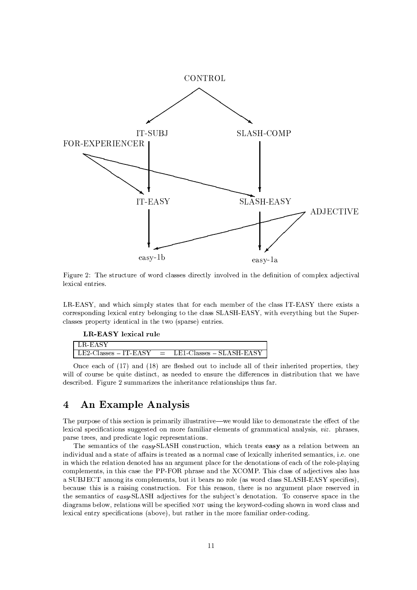

Figure 2: The structure of word classes directly involved in the definition of complex adjectival lexical entries.

LR-EASY, and which simply states that for each member of the class IT-EASY there exists a corresponding lexical entry belonging to the class SLASH-EASY, with everything but the Superclasses property identical in the two (sparse) entries.

## LR-EASY lexical rule

| LR-EASY |                                                          |
|---------|----------------------------------------------------------|
|         | $\vert$ LE2-Classes – IT-EASY = LE1-Classes – SLASH-EASY |

Once each of (17) and (18) are fleshed out to include all of their inherited properties, they will of course be quite distinct, as needed to ensure the differences in distribution that we have described. Figure 2 summarizes the inheritance relationships thus far.

#### $\overline{4}$ An Example Analysis

The purpose of this section is primarily illustrative—we would like to demonstrate the effect of the lexical specifications suggested on more familiar elements of grammatical analysis,  $viz$ , phrases, parse trees, and predicate logic representations.

The semantics of the easy-SLASH construction, which treats easy as a relation between an individual and a state of affairs is treated as a normal case of lexically inherited semantics, i.e. one in which the relation denoted has an argument place for the denotations of each of the role-playing complements, in this case the PP-FOR phrase and the XCOMP. This class of adjectives also has a SUBJECT among its complements, but it bears no role (as word class SLASH-EASY specifies). because this is a raising construction. For this reason, there is no argument place reserved in the semantics of easy-SLASH adjectives for the subject's denotation. To conserve space in the diagrams below, relations will be specified NOT using the keyword-coding shown in word class and lexical entry specifications (above), but rather in the more familiar order-coding.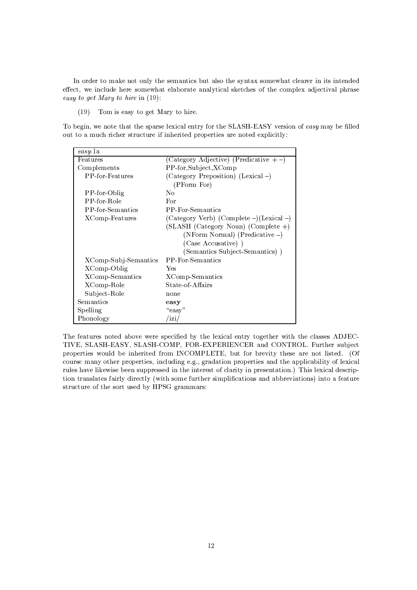In order to make not only the semantics but also the syntax somewhat clearer in its intended effect, we include here somewhat elaborate analytical sketches of the complex adjectival phrase easy to get Mary to hire in (19):

Tom is easy to get Mary to hire.  $(19)$ 

To begin, we note that the sparse lexical entry for the SLASH-EASY version of easy may be filled out to a much richer structure if inherited properties are noted explicitly:

| easy-la                |                                          |
|------------------------|------------------------------------------|
| Features               | (Category Adjective) (Predicative $+$ -) |
| Complements            | PP-for,Subject,XComp                     |
| <b>PP-for-Features</b> | (Category Preposition) (Lexical -)       |
|                        | (PForm For)                              |
| PP-for-Oblig           | No                                       |
| PP-for-Role            | For                                      |
| PP-for-Semantics       | PP-For-Semantics                         |
| XComp-Features         | (Category Verb) (Complete –)(Lexical –)  |
|                        | $(SLASH (Category Noun) (Complete +)$    |
|                        | (NForm Normal) (Predicative -)           |
|                        | (Case Accusative))                       |
|                        | (Semantics Subject-Semantics))           |
| XComp-Subj-Semantics   | PP-For-Semantics                         |
| XComp-Oblig            | Yes                                      |
| XComp-Semantics        | XComp-Semantics                          |
| XComp-Role             | State-of-Affairs                         |
| Subject-Role           | none                                     |
| Semantics              | easy                                     |
| Spelling               | "easy"                                   |
| Phonology              | 'izi                                     |

The features noted above were specified by the lexical entry together with the classes ADJEC-TIVE, SLASH-EASY, SLASH-COMP, FOR-EXPERIENCER and CONTROL. Further subject properties would be inherited from INCOMPLETE, but for brevity these are not listed. (Of course many other properties, including e.g., gradation properties and the applicability of lexical rules have likewise been suppressed in the interest of clarity in presentation.) This lexical description translates fairly directly (with some further simplifications and abbreviations) into a feature structure of the sort used by HPSG grammars: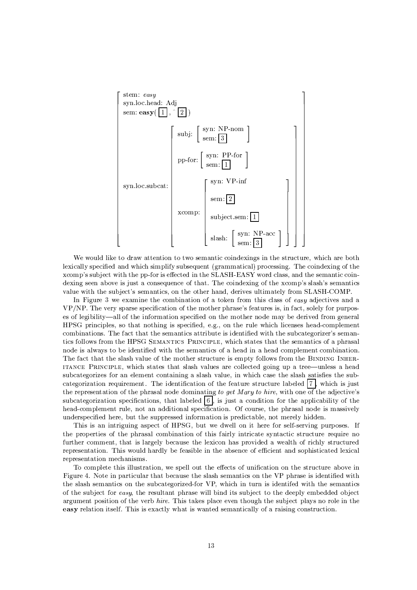

We would like to draw attention to two semantic coindexings in the structure, which are both lexically specified and which simplify subsequent (grammatical) processing. The coindexing of the xcomp's subject with the pp-for is effected in the SLASH-EASY word class, and the semantic coindexing seen above is just a consequence of that. The coindexing of the xcomp's slash's semantics value with the subject's semantics, on the other hand, derives ultimately from SLASH-COMP.

In Figure 3 we examine the combination of a token from this class of easy adjectives and a VP/NP. The very sparse specification of the mother phrase's features is, in fact, solely for purposes of legibility—all of the information specified on the mother node may be derived from general HPSG principles, so that nothing is specified, e.g., on the rule which licenses head-complement combinations. The fact that the semantics attribute is identified with the subcategorizer's semantics follows from the HPSG SEMANTICS PRINCIPLE, which states that the semantics of a phrasal node is always to be identified with the semantics of a head in a head complement combination. The fact that the slash value of the mother structure is empty follows from the BINDING INHER-ITANCE PRINCIPLE, which states that slash values are collected going up a tree—unless a head subcategorizes for an element containing a slash value, in which case the slash satisfies the subcategorization requirement. The identification of the feature structure labeled  $|7|$ , which is just the representation of the phrasal node dominating to get Mary to hire, with one of the adjective's subcategorization specifications, that labeled  $\lceil 6 \rceil$  is just a condition for the applicability of the head-complement rule, not an additional specification. Of course, the phrasal node is massively underspecified here, but the suppressed information is predictable, not merely hidden.

This is an intriguing aspect of HPSG, but we dwell on it here for self-serving purposes. If the properties of the phrasal combination of this fairly intricate syntactic structure require no further comment, that is largely because the lexicon has provided a wealth of richly structured representation. This would hardly be feasible in the absence of efficient and sophisticated lexical representation mechanisms.

To complete this illustration, we spell out the effects of unification on the structure above in Figure 4. Note in particular that because the slash semantics on the VP phrase is identified with the slash semantics on the subcategorized-for VP, which in turn is identifed with the semantics of the subject for easy, the resultant phrase will bind its subject to the deeply embedded object argument position of the verb hire. This takes place even though the subject plays no role in the easy relation itself. This is exactly what is wanted semantically of a raising construction.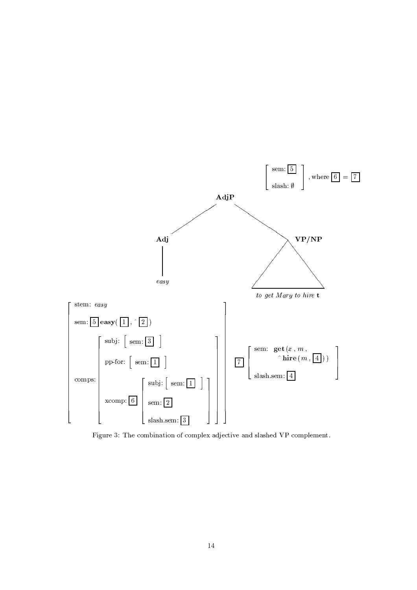

Figure 3: The combination of complex adjective and slashed VP complement.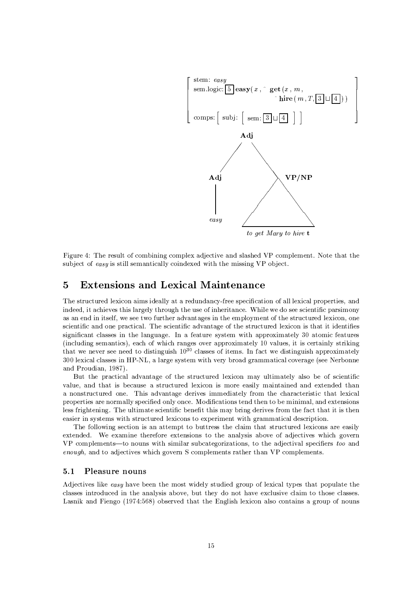

Figure 4: The result of combining complex adjective and slashed VP complement. Note that the subject of easy is still semantically coindexed with the missing VP object.

#### $\bf{5}$ **Extensions and Lexical Maintenance**

The structured lexicon aims ideally at a redundancy-free specification of all lexical properties, and indeed, it achieves this largely through the use of inheritance. While we do see scientific parsimony as an end in itself, we see two further advantages in the employment of the structured lexicon, one scientific and one practical. The scientific advantage of the structured lexicon is that it identifies significant classes in the language. In a feature system with approximately 30 atomic features (including semantics), each of which ranges over approximately 10 values, it is certainly striking that we never see need to distinguish  $10^{30}$  classes of items. In fact we distinguish approximately 300 lexical classes in HP-NL, a large system with very broad grammatical coverage (see Nerbonne and Proudian, 1987).

But the practical advantage of the structured lexicon may ultimately also be of scientific value, and that is because a structured lexicon is more easily maintained and extended than a nonstructured one. This advantage derives immediately from the characteristic that lexical properties are normally specified only once. Modifications tend then to be minimal, and extensions less frightening. The ultimate scientific benefit this may bring derives from the fact that it is then easier in systems with structured lexicons to experiment with grammatical description.

The following section is an attempt to buttress the claim that structured lexicons are easily extended. We examine therefore extensions to the analysis above of adjectives which govern VP complements—to nouns with similar subcategorizations, to the adjectival specifiers too and *enough*, and to adjectives which govern S complements rather than VP complements.

#### $5.1$ Pleasure nouns

Adjectives like easy have been the most widely studied group of lexical types that populate the classes introduced in the analysis above, but they do not have exclusive claim to those classes. Lasnik and Fiengo (1974:568) observed that the English lexicon also contains a group of nouns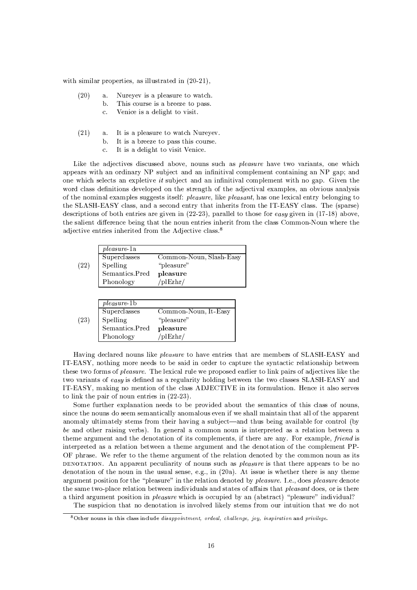with similar properties, as illustrated in  $(20-21)$ ,

- $(20)$ Nureyev is a pleasure to watch.  $\mathbf{a}$ .
	- b. This course is a breeze to pass.
		- $\mathbf{c}$ . Venice is a delight to visit.
- $(21)$ It is a pleasure to watch Nureyev.  $\mathbf{a}$ .
	- $\mathbf b$ It is a breeze to pass this course.
		- $\mathbf{c}$ . It is a delight to visit Venice.

Like the adjectives discussed above, nouns such as *pleasure* have two variants, one which appears with an ordinary NP subject and an infinitival complement containing an NP gap; and one which selects an expletive it subject and an infinitival complement with no gap. Given the word class definitions developed on the strength of the adjectival examples, an obvious analysis of the nominal examples suggests itself: pleasure, like pleasant, has one lexical entry belonging to the SLASH-EASY class, and a second entry that inherits from the IT-EASY class. The (sparse) descriptions of both entries are given in  $(22-23)$ , parallel to those for easy given in  $(17-18)$  above, the salient difference being that the noun entries inherit from the class Common-Noun where the adjective entries inherited from the Adjective class.<sup>8</sup>

|      | <i>pleasure</i> -1a |                         |
|------|---------------------|-------------------------|
|      | Superclasses        | Common-Noun, Slash-Easy |
| (22) | Spelling            | "pleasure"              |
|      | Semantics.Pred      | pleasure                |
|      | Phonology           | /plEzhr/                |
|      |                     |                         |

|      | <i>pleasure</i> -1b |                      |
|------|---------------------|----------------------|
|      | Superclasses        | Common-Noun, It-Easy |
| (23) | Spelling            | "pleasure"           |
|      | Semantics.Pred      | pleasure             |
|      | Phonology           | /plEzhr/             |

Having declared nouns like pleasure to have entries that are members of SLASH-EASY and IT-EASY, nothing more needs to be said in order to capture the syntactic relationship between these two forms of *pleasure*. The lexical rule we proposed earlier to link pairs of adjectives like the two variants of easy is defined as a regularity holding between the two classes SLASH-EASY and IT-EASY, making no mention of the class ADJECTIVE in its formulation. Hence it also serves to link the pair of noun entries in  $(22-23)$ .

Some further explanation needs to be provided about the semantics of this class of nouns, since the nouns do seem semantically anomalous even if we shall maintain that all of the apparent anomaly ultimately stems from their having a subject—and thus being available for control (by be and other raising verbs). In general a common noun is interpreted as a relation between a theme argument and the denotation of its complements, if there are any. For example, *friend* is interpreted as a relation between a theme argument and the denotation of the complement PP-OF phrase. We refer to the theme argument of the relation denoted by the common noun as its DENOTATION. An apparent peculiarity of nouns such as *pleasure* is that there appears to be no denotation of the noun in the usual sense, e.g., in  $(20a)$ . At issue is whether there is any theme argument position for the "pleasure" in the relation denoted by pleasure. I.e., does pleasure denote the same two-place relation between individuals and states of affairs that *pleasant* does, or is there a third argument position in *pleasure* which is occupied by an (abstract) "pleasure" individual?

The suspicion that no denotation is involved likely stems from our intuition that we do not

<sup>&</sup>lt;sup>8</sup>Other nouns in this class include *disappointment*, *ordeal*, *challenge*, *joy*, *inspiration* and *privilege*.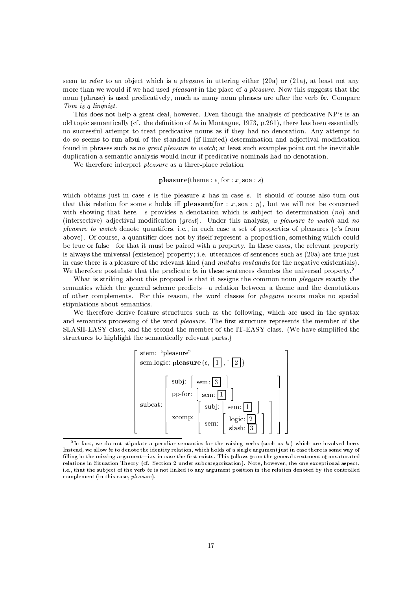seem to refer to an object which is a *pleasure* in uttering either (20a) or (21a), at least not any more than we would if we had used *pleasant* in the place of a *pleasure*. Now this suggests that the noun (phrase) is used predicatively, much as many noun phrases are after the verb be. Compare Tom is a linguist.

This does not help a great deal, however. Even though the analysis of predicative NP's is an old topic semantically (cf. the definition of be in Montague, 1973, p.261), there has been essentially no successful attempt to treat predicative nouns as if they had no denotation. Any attempt to do so seems to run afoul of the standard (if limited) determination and adjectival modification found in phrases such as no great pleasure to watch; at least such examples point out the inevitable duplication a semantic analysis would incur if predicative nominals had no denotation.

We therefore interpret *pleasure* as a three-place relation

### **pleasure**(theme:  $e$ , for:  $x$ , soa:  $s$ )

which obtains just in case  $e$  is the pleasure  $x$  has in case  $s$ . It should of course also turn out that this relation for some e holds iff **pleasant** (for : x, so a : y), but we will not be concerned with showing that here.  $e$  provides a denotation which is subject to determination (no) and (intersective) adjectival modification (great). Under this analysis, a pleasure to watch and no pleasure to watch denote quantifers, i.e., in each case a set of properties of pleasures (e's from above). Of course, a quantifier does not by itself represent a proposition, something which could be true or false—for that it must be paired with a property. In these cases, the relevant property is always the universal (existence) property; i.e. utterances of sentences such as (20a) are true just in case there is a pleasure of the relevant kind (and *mutatis mutandis* for the negative existentials). We therefore postulate that the predicate be in these sentences denotes the universal property.<sup>9</sup>

What is striking about this proposal is that it assigns the common noun *pleasure* exactly the semantics which the general scheme predicts—a relation between a theme and the denotations of other complements. For this reason, the word classes for *pleasure* nouns make no special stipulations about semantics.

We therefore derive feature structures such as the following, which are used in the syntax and semantics processing of the word pleasure. The first structure represents the member of the SLASH-EASY class, and the second the member of the IT-EASY class. (We have simplified the structures to highlight the semantically relevant parts.)



<sup>&</sup>lt;sup>9</sup>In fact, we do not stipulate a peculiar semantics for the raising verbs (such as be) which are involved here. Instead, we allow be to denote the identity relation, which holds of a single argument just in case there is some way of filling in the missing argument-i.e. in case the first exists. This follows from the general treatment of unsaturated relations in Situation Theory (cf. Section 2 under subcategorization). Note, however, the one exceptional aspect, i.e., that the subject of the verb be is not linked to any argument position in the relation denoted by the controlled complement (in this case, pleasure).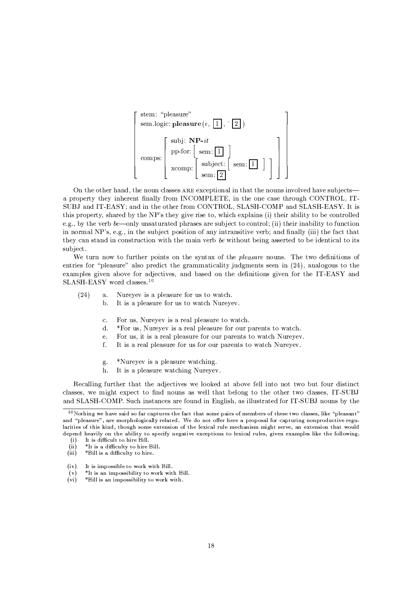

On the other hand, the noun classes ARE exceptional in that the nouns involved have subjects a property they inherent finally from INCOMPLETE, in the one case through CONTROL. IT-SUBJ and IT-EASY; and in the other from CONTROL, SLASH-COMP and SLASH-EASY. It is this property, shared by the NP's they give rise to, which explains (i) their ability to be controlled e.g., by the verb be—only unsaturated phrases are subject to control; (ii) their inability to function in normal NP's, e.g., in the subject position of any intransitive verb; and finally (iii) the fact that they can stand in construction with the main verb be without being asserted to be identical to its subject.

We turn now to further points on the syntax of the *pleasure* nouns. The two definitions of entries for "pleasure" also predict the grammaticality judgments seen in (24), analogous to the examples given above for adjectives, and based on the definitions given for the IT-EASY and SLASH-EASY word classes.<sup>10</sup>

- $(24)$  $\mathbf{a}$ . Nureyev is a pleasure for us to watch.
	- It is a pleasure for us to watch Nureyev.  $<sub>b</sub>$ </sub>
		- $\mathbf{c}$ . For us, Nureyev is a real pleasure to watch.
		- \*For us. Nurevey is a real pleasure for our parents to watch.  $\overline{d}$
		- For us, it is a real pleasure for our parents to watch Nureyev.  $\epsilon$
		- $f_{\cdot}$ It is a real pleasure for us for our parents to watch Nureyev.
		- \*Nureyev is a pleasure watching. g.
		- h. It is a pleasure watching Nureyev.

Recalling further that the adjectives we looked at above fell into not two but four distinct classes, we might expect to find nouns as well that belong to the other two classes, IT-SUBJ and SLASH-COMP. Such instances are found in English, as illustrated for IT-SUBJ nouns by the

- $(iv)$ It is impossible to work with Bill
- \*It is an impossibility to work with Bill.  $(v)$

 $10$  Nothing we have said so far captures the fact that some pairs of members of these two classes, like "pleasant" and "pleasure", are morphologically related. We do not offer here a proposal for capturing nonproductive regularities of this kind, though some extension of the lexical rule mechanism might serve, an extension that would depend heavily on the ability to specify negative exceptions to lexical rules, given examples like the following.

It is difficult to hire Bill.  $(i)$ 

 $(ii)$ \*It is a difficulty to hire Bill.

 $(iii)$ \*Bill is a difficulty to hire.

 $(v_i)$ \*Bill is an impossibility to work with.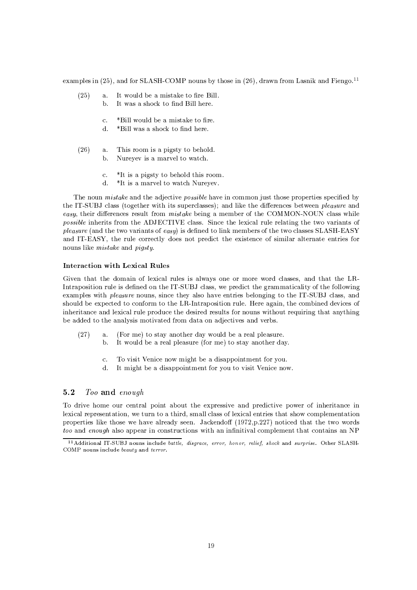examples in (25), and for SLASH-COMP nouns by those in (26), drawn from Lasnik and Fiengo.<sup>11</sup>

- It would be a mistake to fire Bill.  $(25)$  $\mathbf{a}$ .
	- It was a shock to find Bill here. b.
		- \*Bill would be a mistake to fire.  $\overline{c}$ .
		- $\overline{\mathrm{d}}$ . \*Bill was a shock to find here
- $(26)$ This room is a pigsty to behold.  $\mathbf{a}$ . Nureyev is a marvel to watch.  $<sub>b</sub>$ </sub>
	-
	- \*It is a pigsty to behold this room.  $\overline{c}$ .
	- \*It is a marvel to watch Nurevev.  $\mathbf{d}$ .

The noun *mistake* and the adjective *possible* have in common just those properties specified by the IT-SUBJ class (together with its superclasses); and like the differences between *pleasure* and easy, their differences result from *mistake* being a member of the COMMON-NOUN class while possible inherits from the ADJECTIVE class. Since the lexical rule relating the two variants of pleasure (and the two variants of easy) is defined to link members of the two classes SLASH-EASY and IT-EASY, the rule correctly does not predict the existence of similar alternate entries for nouns like *mistake* and *pigsty*.

## Interaction with Lexical Rules

Given that the domain of lexical rules is always one or more word classes, and that the LR-Intraposition rule is defined on the IT-SUBJ class, we predict the grammaticality of the following examples with *pleasure* nouns, since they also have entries belonging to the IT-SUBJ class, and should be expected to conform to the LR-Intraposition rule. Here again, the combined devices of inheritance and lexical rule produce the desired results for nouns without requiring that anything be added to the analysis motivated from data on adjectives and verbs.

- (For me) to stay another day would be a real pleasure.  $(27)$  $\mathbf{a}$ .
	- It would be a real pleasure (for me) to stay another day.  $<sub>b</sub>$ </sub>
	- To visit Venice now might be a disappointment for you.  $\mathcal{C}$ .
	- It might be a disappointment for you to visit Venice now. d.

#### $5.2$ Too and enough

To drive home our central point about the expressive and predictive power of inheritance in lexical representation, we turn to a third, small class of lexical entries that show complementation properties like those we have already seen. Jackendoff (1972, p. 227) noticed that the two words *too* and *enough* also appear in constructions with an infinitival complement that contains an NP

<sup>&</sup>lt;sup>11</sup> Additional IT-SUBJ nouns include battle, disgrace, error, honor, relief, shock and surprise. Other SLASH-COMP nouns include beauty and terror.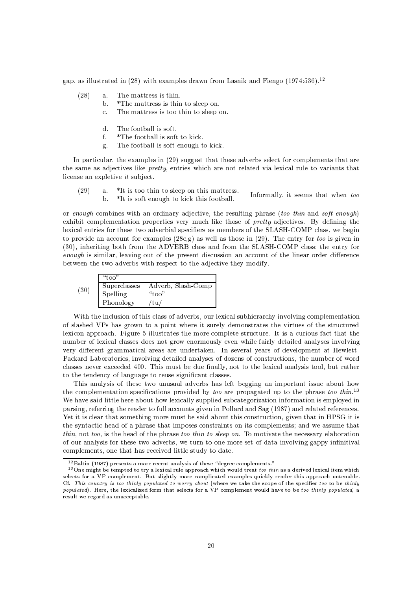gap, as illustrated in (28) with examples drawn from Lasnik and Fiengo  $(1974.536)^{12}$ 

- $(28)$ The mattress is thin.  $\mathbf{a}$ .
	- b. \*The mattress is thin to sleep on.
	- $\mathbf{c}$ . The mattress is too thin to sleep on.
	- $\overline{\mathrm{d}}$ . The football is soft.
	- \*The football is soft to kick. f.
	- The football is soft enough to kick.  $\sigma$ .

In particular, the examples in (29) suggest that these adverbs select for complements that are the same as adjectives like *pretty*, entries which are not related via lexical rule to variants that license an expletive it subject.

 $(29)$ \*It is too thin to sleep on this mattress.  $a<sub>1</sub>$ Informally, it seems that when too  $<sub>b</sub>$ </sub> \*It is soft enough to kick this football.

or enough combines with an ordinary adjective, the resulting phrase (too thin and soft enough) exhibit complementation properties very much like those of *pretty* adjectives. By defining the lexical entries for these two adverbial specifiers as members of the SLASH-COMP class, we begin to provide an account for examples  $(28c,g)$  as well as those in  $(29)$ . The entry for too is given in (30), inheriting both from the ADVERB class and from the SLASH-COMP class; the entry for enough is similar, leaving out of the present discussion an account of the linear order difference between the two adverbs with respect to the adjective they modify.

|      | "too"        |                    |
|------|--------------|--------------------|
| (30) | Superclasses | Adverb, Slash-Comp |
|      | Spelling     | "too"              |
|      | Phonology    | $t$ u/             |

With the inclusion of this class of adverbs, our lexical subhierarchy involving complementation of slashed VPs has grown to a point where it surely demonstrates the virtues of the structured lexicon approach. Figure 5 illustrates the more complete structure. It is a curious fact that the number of lexical classes does not grow enormously even while fairly detailed analyses involving very different grammatical areas are undertaken. In several years of development at Hewlett-Packard Laboratories, involving detailed analyses of dozens of constructions, the number of word classes never exceeded 400. This must be due finally, not to the lexical analysis tool, but rather to the tendency of language to reuse significant classes.

This analysis of these two unusual adverbs has left begging an important issue about how the complementation specifications provided by too are propagated up to the phrase too thin.<sup>13</sup> We have said little here about how lexically supplied subcategorization information is employed in parsing, referring the reader to full accounts given in Pollard and Sag (1987) and related references. Yet it is clear that something more must be said about this construction, given that in HPSG it is the syntactic head of a phrase that imposes constraints on its complements; and we assume that thin, not too, is the head of the phrase too thin to sleep on. To motivate the necessary elaboration of our analysis for these two adverbs, we turn to one more set of data involving gappy infinitival complements, one that has received little study to date.

 $12$ Baltin (1987) presents a more recent analysis of these "degree complements."

 $13$  One might be tempted to try a lexical rule approach which would treat too thin as a derived lexical item which selects for a VP complement. But slightly more complicated examples quickly render this approach untenable. Cf. This country is too thinly populated to worry about (where we take the scope of the specifier too to be thinly populated). Here, the lexicalized form that selects for a VP complement would have to be too thinly populated, a result we regard as unacceptable.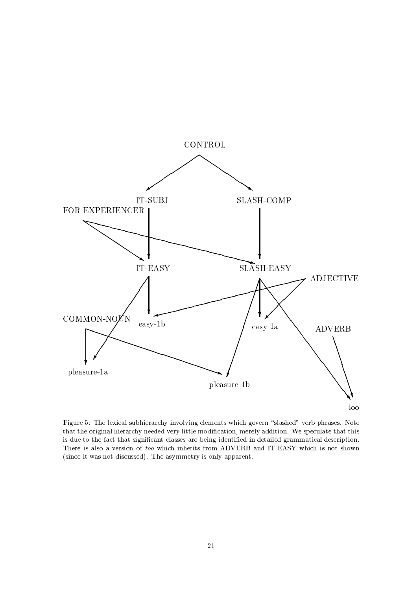

Figure 5: The lexical subhierarchy involving elements which govern "slashed" verb phrases. Note that the original hierarchy needed very little modification, merely addition. We speculate that this is due to the fact that significant classes are being identified in detailed grammatical description. There is also a version of too which inherits from ADVERB and IT-EASY which is not shown (since it was not discussed). The asymmetry is only apparent.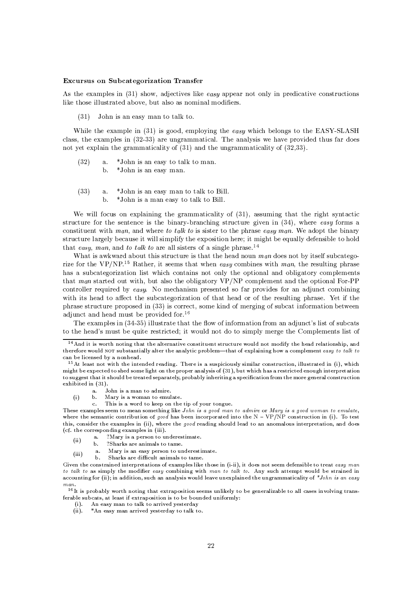### **Excursus on Subcategorization Transfer**

As the examples in  $(31)$  show, adjectives like easy appear not only in predicative constructions like those illustrated above, but also as nominal modifiers.

John is an easy man to talk to.  $(31)$ 

While the example in (31) is good, employing the easy which belongs to the EASY-SLASH class, the examples in  $(32-33)$  are ungrammatical. The analysis we have provided thus far does not yet explain the grammaticality of  $(31)$  and the ungrammaticality of  $(32,33)$ .

- $(32)$ \*John is an easy to talk to man.  $\mathbf{a}$ .  $\mathbf{h}$ \*John is an easy man.
- $(33)$  $\mathbf{a}$ \*John is an easy man to talk to Bill.
	- \*John is a man easy to talk to Bill.  $\mathbf{h}$

We will focus on explaining the grammaticality of (31), assuming that the right syntactic structure for the sentence is the binary-branching structure given in  $(34)$ , where easy forms a constituent with man, and where to talk to is sister to the phrase easy man. We adopt the binary structure largely because it will simplify the exposition here; it might be equally defensible to hold that easy, man, and to talk to are all sisters of a single phrase.<sup>14</sup>

What is awkward about this structure is that the head noun man does not by itself subcategorize for the VP/NP.<sup>15</sup> Rather, it seems that when easy combines with man, the resulting phrase has a subcategorization list which contains not only the optional and obligatory complements that man started out with, but also the obligatory VP/NP complement and the optional For-PP controller required by easy. No mechanism presented so far provides for an adjunct combining with its head to affect the subcategorization of that head or of the resulting phrase. Yet if the phrase structure proposed in (33) is correct, some kind of merging of subcat information between adjunct and head must be provided for.<sup>16</sup>

The examples in (34-35) illustrate that the flow of information from an adjunct's list of subcats to the head's must be quite restricted; it would not do to simply merge the Complements list of

- John is a man to admire. a.  $(i)$ 
	- $\mathbf b$ . Mary is a woman to emulate.
		- This is a word to keep on the tip of your tongue.  $\mathbf{c}$ .

- ?Mary is a person to underestimate.  $\mathbf{a}$  $(ii)$
- $\mathbf b$ . ?Sharks are animals to tame.
- Mary is an easy person to underestimate. а.  $(iii)$ 
	- Sharks are difficult animals to tame.  $\mathbf{b}$ .

<sup>16</sup>It is probably worth noting that extraposition seems unlikely to be generalizable to all cases involving transferable subcats, at least if extraposition is to be bounded uniformly:

- (i). An easy man to talk to arrived yesterday
- $(ii).$ \*An easy man arrived yesterday to talk to.

<sup>&</sup>lt;sup>14</sup> And it is worth noting that the alternative constituent structure would not modify the head relationship, and therefore would NOT substantially alter the analytic problem-that of explaining how a complement easy to talk to can be licensed by a nonhead.

 $15$  At least not with the intended reading. There is a suspiciously similar construction, illustrated in (i), which might be expected to shed some light on the proper analysis of (31), but which has a restricted enough interpretation to suggest that it should be treated separately, probably inheriting a specification from the more general construction exhibited in (31).

These examples seem to mean something like John is a good man to admire or Mary is a good woman to emulate, where the semantic contribution of good has been incorporated into the  $N - VP/NP$  construction in (i). To test this, consider the examples in (ii), where the good reading should lead to an anomalous interpretation, and does (cf. the corresponding examples in (iii).

Given the constrained interpretations of examples like those in (i-ii), it does not seem defensible to treat easy man to talk to as simply the modifier easy combining with man to talk to. Any such attempt would be strained in accounting for (ii); in addition, such an analysis would leave unexplained the ungrammaticality of \*John is an easy man.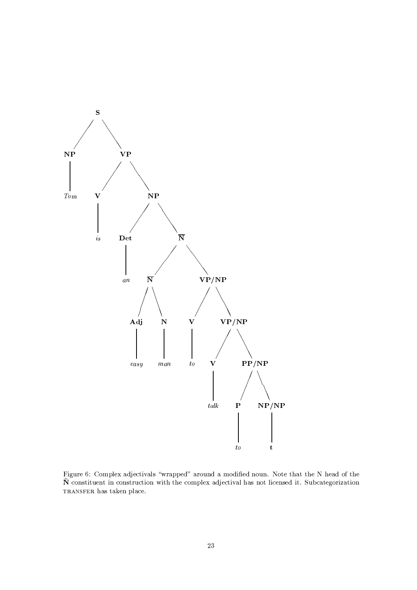

Figure 6: Complex adjectivals "wrapped" around a modified noun. Note that the N head of the  $\bar{\mathbf{N}}$  constituent in construction with the complex adjectival has not licensed it. Subcategorization TRANSFER has taken place.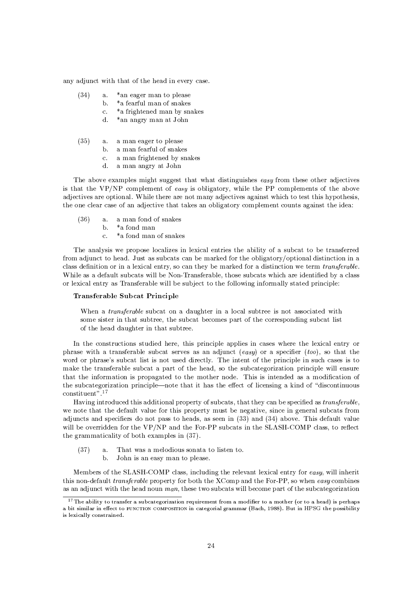any adjunct with that of the head in every case.

- $(34)$ \*an eager man to please  $\mathbf{a}$ .
	- \*a fearful man of snakes b.
		- \*a frightened man by snakes  $\mathcal{C}$ .
		- \*an angry man at John  $\mathbf{d}$ .
- $(35)$  $\mathbf{a}$ . a man eager to please
	- b. a man fearful of snakes
	- a man frightened by snakes  $\mathbf{c}$ .
	- a man angry at John  $\mathbf{d}$ .

The above examples might suggest that what distinguishes easy from these other adjectives is that the VP/NP complement of easy is obligatory, while the PP complements of the above adjectives are optional. While there are not many adjectives against which to test this hypothesis. the one clear case of an adjective that takes an obligatory complement counts against the idea:

- $(36)$ a man fond of snakes  $a.$ 
	- \*a fond man  $\mathbf{b}$ .
		- \*a fond man of snakes  $\sim$

The analysis we propose localizes in lexical entries the ability of a subcat to be transferred from adjunct to head. Just as subcats can be marked for the obligatory/optional distinction in a class definition or in a lexical entry, so can they be marked for a distinction we term transferable. While as a default subcats will be Non-Transferable, those subcats which are identified by a class or lexical entry as Transferable will be subject to the following informally stated principle:

### Transferable Subcat Principle

When a transferable subcat on a daughter in a local subtree is not associated with some sister in that subtree, the subcat becomes part of the corresponding subcat list of the head daughter in that subtree.

In the constructions studied here, this principle applies in cases where the lexical entry or phrase with a transferable subcat serves as an adjunct (easy) or a specifier (too), so that the word or phrase's subcat list is not used directly. The intent of the principle in such cases is to make the transferable subcat a part of the head, so the subcategorization principle will ensure that the information is propagated to the mother node. This is intended as a modification of the subcategorization principle—note that it has the effect of licensing a kind of "discontinuous" constituent".<sup>17</sup>

Having introduced this additional property of subcats, that they can be specified as transferable, we note that the default value for this property must be negative, since in general subcats from adjuncts and specifiers do not pass to heads, as seen in (33) and (34) above. This default value will be overridden for the VP/NP and the For-PP subcats in the SLASH-COMP class, to reflect the grammaticality of both examples in (37).

- $(37)$ That was a melodious sonata to listen to.  $\mathbf{a}$ 
	- $<sub>b</sub>$ </sub> John is an easy man to please.

Members of the SLASH-COMP class, including the relevant lexical entry for easy, will inherit this non-default *transferable* property for both the XComp and the For-PP, so when easy combines as an adjunct with the head noun man, these two subcats will become part of the subcategorization

<sup>&</sup>lt;sup>17</sup>The ability to transfer a subcategorization requirement from a modifier to a mother (or to a head) is perhaps a bit similar in effect to FUNCTION COMPOSITION in categorial grammar (Bach, 1988). But in HPSG the possibility is lexically constrained.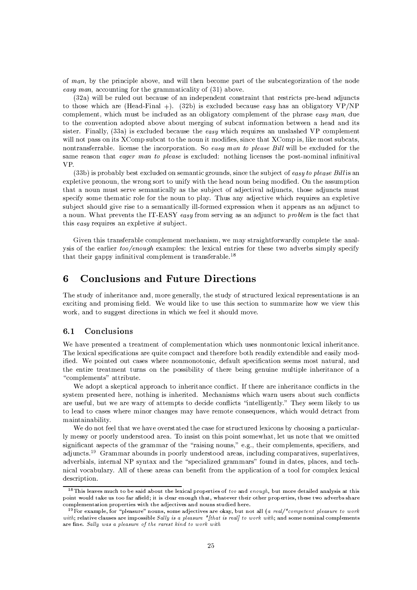of man, by the principle above, and will then become part of the subcategorization of the node easy man, accounting for the grammaticality of  $(31)$  above.

(32a) will be ruled out because of an independent constraint that restricts pre-head adjuncts to those which are (Head-Final +). (32b) is excluded because easy has an obligatory  $VP/NP$ complement, which must be included as an obligatory complement of the phrase easy man, due to the convention adopted above about merging of subcat information between a head and its sister. Finally,  $(33a)$  is excluded because the *easy* which requires an unslashed VP complement will not pass on its XComp subcat to the noun it modifies, since that XComp is, like most subcats. nontransferrable. license the incorporation. So easy man to please Bill will be excluded for the same reason that eager man to please is excluded: nothing licenses the post-nominal infinitival **VP** 

(33b) is probably best excluded on semantic grounds, since the subject of easy to please Bill is an expletive pronoun, the wrong sort to unify with the head noun being modified. On the assumption that a noun must serve semantically as the subject of adjectival adjuncts, those adjuncts must specify some thematic role for the noun to play. Thus any adjective which requires an expletive subject should give rise to a semantically ill-formed expression when it appears as an adjunct to a noun. What prevents the IT-EASY easy from serving as an adjunct to problem is the fact that this easy requires an expletive it subject.

Given this transferable complement mechanism, we may straightforwardly complete the analysis of the earlier too/enough examples: the lexical entries for these two adverbs simply specify that their gappy infinitival complement is transferable.<sup>18</sup>

#### **Conclusions and Future Directions** 6

The study of inheritance and, more generally, the study of structured lexical representations is an exciting and promising field. We would like to use this section to summarize how we view this work, and to suggest directions in which we feel it should move.

#### $6.1$ Conclusions

We have presented a treatment of complementation which uses nonmontonic lexical inheritance. The lexical specifications are quite compact and therefore both readily extendible and easily modified. We pointed out cases where nonmonotonic, default specification seems most natural, and the entire treatment turns on the possibility of there being genuine multiple inheritance of a "complements" attribute.

We adopt a skeptical approach to inheritance conflict. If there are inheritance conflicts in the system presented here, nothing is inherited. Mechanisms which warn users about such conflicts are useful, but we are wary of attempts to decide conflicts "intelligently." They seem likely to us to lead to cases where minor changes may have remote consequences, which would detract from maintainability.

We do not feel that we have overstated the case for structured lexicons by choosing a particularly messy or poorly understood area. To insist on this point somewhat, let us note that we omitted significant aspects of the grammar of the "raising nouns," e.g., their complements, specifiers, and adjuncts.<sup>19</sup> Grammar abounds in poorly understood areas, including comparatives, superlatives, adverbials, internal NP syntax and the "specialized grammars" found in dates, places, and technical vocabulary. All of these areas can benefit from the application of a tool for complex lexical description.

 $18$  This leaves much to be said about the lexical properties of too and enough, but more detailed analysis at this point would take us too far afield; it is clear enough that, whatever their other properties, these two adverbs share complementation properties with the adjectives and nouns studied here.

<sup>&</sup>lt;sup>19</sup> For example, for "pleasure" nouns, some adjectives are okay, but not all (a real/\*competent pleasure to work with; relative clauses are impossible Sally is a pleasure \*fthat is reall to work with; and some nominal complements are fine. Sally was a pleasure of the rarest kind to work with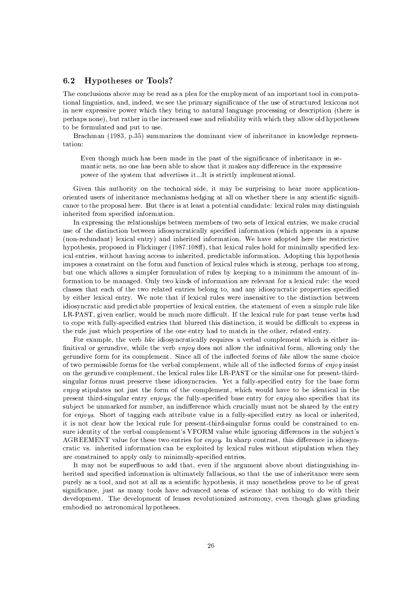#### $6.2$ **Hypotheses or Tools?**

The conclusions above may be read as a plea for the employment of an important tool in computational linguistics, and, indeed, we see the primary significance of the use of structured lexicons not in new expressive power which they bring to natural language processing or description (there is perhaps none), but rather in the increased ease and reliability with which they allow old hypotheses to be formulated and put to use.

Brachman (1983, p.35) summarizes the dominant view of inheritance in knowledge representation:

Even though much has been made in the past of the significance of inheritance in semantic nets, no one has been able to show that it makes any difference in the expressive power of the system that advertises it...It is strictly implementational.

Given this authority on the technical side, it may be surprising to hear more applicationoriented users of inheritance mechanisms hedging at all on whether there is any scientific significance to the proposal here. But there is at least a potential candidate: lexical rules may distinguish inherited from specified information.

In expressing the relationships between members of two sets of lexical entries, we make crucial use of the distinction between idiosyncratically specified information (which appears in a sparse (non-redundant) lexical entry) and inherited information. We have adopted here the restrictive hypothesis, proposed in Flickinger (1987:108ff), that lexical rules hold for minimally specified lexical entries, without having access to inherited, predictable information. Adopting this hypothesis imposes a constraint on the form and function of lexical rules which is strong, perhaps too strong, but one which allows a simpler formulation of rules by keeping to a minimum the amount of information to be managed. Only two kinds of information are relevant for a lexical rule: the word classes that each of the two related entries belong to, and any idiosyncratic properties specified by either lexical entry. We note that if lexical rules were insensitive to the distinction between idiosyncratic and predictable properties of lexical entries, the statement of even a simple rule like LR-PAST, given earlier, would be much more difficult. If the lexical rule for past tense verbs had to cope with fully-specified entries that blurred this distinction, it would be difficult to express in the rule just which properties of the one entry had to match in the other, related entry.

For example, the verb like idiosyncratically requires a verbal complement which is either infinitival or gerundive, while the verb enjoy does not allow the infinitival form, allowing only the gerundive form for its complement. Since all of the inflected forms of like allow the same choice of two permissible forms for the verbal complement, while all of the inflected forms of enjoy insist on the gerundive complement, the lexical rules like LR-PAST or the similar one for present-thirdsingular forms must preserve these idiosyncracies. Yet a fully-specified entry for the base form enjoy stipulates not just the form of the complement, which would have to be identical in the present third-singular entry enjoys; the fully-specified base entry for enjoy also specifies that its subject be unmarked for number, an indifference which crucially must not be shared by the entry for enjoys. Short of tagging each attribute value in a fully-specified entry as local or inherited, it is not clear how the lexical rule for present-third-singular forms could be constrained to ensure identity of the verbal complement's VFORM value while ignoring differences in the subject's AGREEMENT value for these two entries for *enjoy*. In sharp contrast, this difference in idiosyncratic vs. inherited information can be exploited by lexical rules without stipulation when they are constrained to apply only to minimally-specified entries.

It may not be superfluous to add that, even if the argument above about distinguishing inherited and specified information is ultimately fallacious, so that the use of inheritance were seen purely as a tool, and not at all as a scientific hypothesis, it may nonetheless prove to be of great significance, just as many tools have advanced areas of science that nothing to do with their development. The development of lenses revolutionized astromony, even though glass grinding embodied no astronomical hypotheses.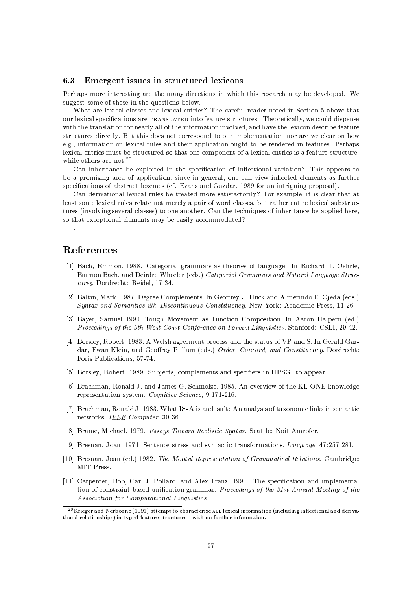#### $6.3$ Emergent issues in structured lexicons

Perhaps more interesting are the many directions in which this research may be developed. We suggest some of these in the questions below.

What are lexical classes and lexical entries? The careful reader noted in Section 5 above that our lexical specifications are TRANSLATED into feature structures. Theoretically, we could dispense with the translation for nearly all of the information involved, and have the lexicon describe feature structures directly. But this does not correspond to our implementation, nor are we clear on how e.g., information on lexical rules and their application ought to be rendered in features. Perhaps lexical entries must be structured so that one component of a lexical entries is a feature structure, while others are not.  $^{20}$ 

Can inheritance be exploited in the specification of inflectional variation? This appears to be a promising area of application, since in general, one can view inflected elements as further specifications of abstract lexemes (cf. Evans and Gazdar, 1989 for an intriguing proposal).

Can derivational lexical rules be treated more satisfactorily? For example, it is clear that at least some lexical rules relate not merely a pair of word classes, but rather entire lexical substructures (involving several classes) to one another. Can the techniques of inheritance be applied here, so that exceptional elements may be easily accommodated?

# References

- [1] Bach, Emmon. 1988. Categorial grammars as theories of language. In Richard T. Oehrle, Emmon Bach, and Deirdre Wheeler (eds.) Categorial Grammars and Natural Language Structures. Dordrecht: Reidel. 17-34.
- [2] Baltin, Mark. 1987. Degree Complements. In Geoffrey J. Huck and Almerindo E. Ojeda (eds.) Syntax and Semantics 20: Discontinuous Constituency. New York: Academic Press, 11-26.
- [3] Bayer, Samuel 1990. Tough Movement as Function Composition. In Aaron Halpern (ed.) Proceedings of the 9th West Coast Conference on Formal Linguistics. Stanford: CSLI, 29-42.
- [4] Borsley, Robert. 1983. A Welsh agreement process and the status of VP and S. In Gerald Gazdar, Ewan Klein, and Geoffrey Pullum (eds.) Order, Concord, and Constituency. Dordrecht: Foris Publications, 57-74.
- [5] Borsley, Robert. 1989. Subjects, complements and specifiers in HPSG. to appear.
- [6] Brachman, Ronald J. and James G. Schmolze. 1985. An overview of the KL-ONE knowledge representation system. Cognitive Science, 9:171-216.
- [7] Brachman, Ronald J. 1983. What IS-A is and isn't: An analysis of taxonomic links in semantic networks. IEEE Computer, 30-36.
- [8] Brame, Michael. 1979. Essays Toward Realistic Syntax. Seattle: Noit Amrofer.
- [9] Bresnan, Joan. 1971. Sentence stress and syntactic transformations. Language, 47:257-281.
- [10] Bresnan, Joan (ed.) 1982. The Mental Representation of Grammatical Relations. Cambridge: MIT Press.
- [11] Carpenter, Bob, Carl J. Pollard, and Alex Franz. 1991. The specification and implementation of constraint-based unification grammar. Proceedings of the 31st Annual Meeting of the Association for Computational Linguistics.

<sup>&</sup>lt;sup>20</sup> Krieger and Nerbonne (1991) attempt to characterize ALL lexical information (including inflectional and derivational relationships) in typed feature structures-with no further information.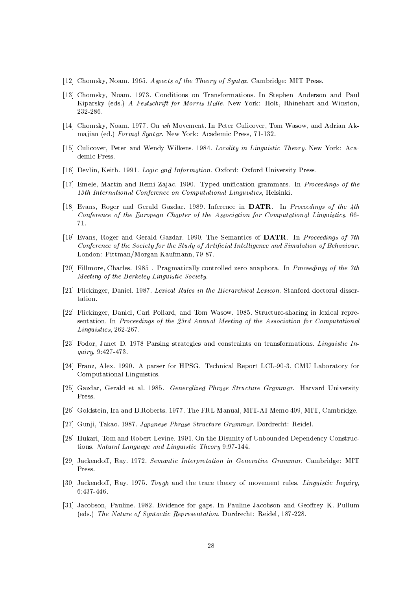- [12] Chomsky, Noam. 1965. Aspects of the Theory of Syntax. Cambridge: MIT Press.
- [13] Chomsky, Noam. 1973. Conditions on Transformations. In Stephen Anderson and Paul Kiparsky (eds.) A Festschrift for Morris Halle. New York: Holt, Rhinehart and Winston, 232-286.
- [14] Chomsky, Noam. 1977. On wh Movement. In Peter Culicover, Tom Wasow, and Adrian Akmajian (ed.) Formal Syntax. New York: Academic Press, 71-132.
- [15] Culicover, Peter and Wendy Wilkens. 1984. Locality in Linguistic Theory. New York: Academic Press.
- [16] Devlin, Keith. 1991. Logic and Information. Oxford: Oxford University Press.
- [17] Emele, Martin and Remi Zajac. 1990. Typed unification grammars. In Proceedings of the 13th International Conference on Computational Linguistics, Helsinki.
- [18] Evans, Roger and Gerald Gazdar. 1989. Inference in DATR. In Proceedings of the 4th Conference of the European Chapter of the Association for Computational Linguistics, 66-71.
- [19] Evans, Roger and Gerald Gazdar. 1990. The Semantics of DATR. In Proceedings of 7th Conference of the Society for the Study of Artificial Intelligence and Simulation of Behaviour. London: Pittman/Morgan Kaufmann, 79-87.
- [20] Fillmore, Charles. 1985. Pragmatically controlled zero anaphora. In Proceedings of the 7th Meeting of the Berkeley Linguistic Society.
- [21] Flickinger, Daniel. 1987. Lexical Rules in the Hierarchical Lexicon. Stanford doctoral dissertation.
- [22] Flickinger, Daniel, Carl Pollard, and Tom Wasow. 1985. Structure-sharing in lexical representation. In Proceedings of the 23rd Annual Meeting of the Association for Computational  $Linguistics, 262-267.$
- [23] Fodor, Janet D. 1978 Parsing strategies and constraints on transformations. Linguistic In*guiry*, 9:427-473.
- [24] Franz, Alex. 1990. A parser for HPSG. Technical Report LCL-90-3, CMU Laboratory for Computational Linguistics.
- [25] Gazdar, Gerald et al. 1985. Generalized Phrase Structure Grammar. Harvard University Press.
- [26] Goldstein, Ira and B.Roberts. 1977. The FRL Manual, MIT-AI Memo 409, MIT, Cambridge.
- [27] Gunji, Takao. 1987. Japanese Phrase Structure Grammar. Dordrecht: Reidel.
- [28] Hukari, Tom and Robert Levine. 1991. On the Disunity of Unbounded Dependency Constructions. Natural Language and Linguistic Theory 9:97-144.
- [29] Jackendoff, Ray. 1972. Semantic Interpretation in Generative Grammar. Cambridge: MIT Press.
- [30] Jackendoff, Ray. 1975. Tough and the trace theory of movement rules. Linguistic Inquiry,  $6:437-446.$
- [31] Jacobson, Pauline. 1982. Evidence for gaps. In Pauline Jacobson and Geoffrey K. Pullum (eds.) The Nature of Syntactic Representation. Dordrecht: Reidel, 187-228.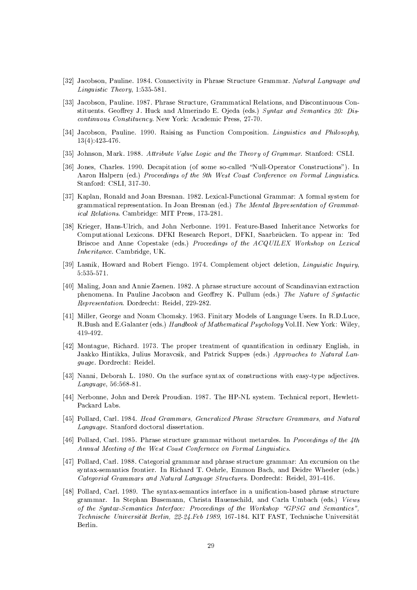- [32] Jacobson, Pauline. 1984. Connectivity in Phrase Structure Grammar. Natural Language and Linguistic Theory,  $1:535-581$ .
- [33] Jacobson, Pauline. 1987. Phrase Structure, Grammatical Relations, and Discontinuous Constituents. Geoffrey J. Huck and Almerindo E. Ojeda (eds.) Syntax and Semantics 20: Discontinuous Constituency. New York: Academic Press, 27-70.
- [34] Jacobson, Pauline. 1990. Raising as Function Composition. Linguistics and Philosophy,  $13(4):423-476.$
- [35] Johnson, Mark. 1988. Attribute Value Logic and the Theory of Grammar. Stanford: CSLI.
- [36] Jones, Charles. 1990. Decapitation (of some so-called "Null-Operator Constructions"). In Aaron Halpern (ed.) Proceedings of the 9th West Coast Conference on Formal Linguistics. Stanford: CSLI, 317-30.
- [37] Kaplan, Ronald and Joan Bresnan. 1982. Lexical-Functional Grammar: A formal system for grammatical representation. In Joan Bresnan (ed.) The Mental Representation of Grammatical Relations. Cambridge: MIT Press, 173-281.
- [38] Krieger, Hans-Ulrich, and John Nerbonne. 1991. Feature-Based Inheritance Networks for Computational Lexicons. DFKI Research Report, DFKI, Saarbrücken. To appear in: Ted Briscoe and Anne Copestake (eds.) Proceedings of the ACQUILEX Workshop on Lexical Inheritance. Cambridge. UK.
- [39] Lasnik, Howard and Robert Fiengo. 1974. Complement object deletion, Linguistic Inquiry,  $5:535-571.$
- [40] Maling, Joan and Annie Zaenen. 1982. A phrase structure account of Scandinavian extraction phenomena. In Pauline Jacobson and Geoffrey K. Pullum (eds.) The Nature of Syntactic Representation. Dordrecht: Reidel, 229-282.
- [41] Miller, George and Noam Chomsky. 1963. Finitary Models of Language Users. In R.D.Luce, R.Bush and E.Galanter (eds.) Handbook of Mathematical Psychology Vol.II. New York: Wiley, 419-492.
- [42] Montague, Richard. 1973. The proper treatment of quantification in ordinary English, in Jaakko Hintikka, Julius Moravcsik, and Patrick Suppes (eds.) Approaches to Natural Language. Dordrecht: Reidel.
- [43] Nanni, Deborah L. 1980. On the surface syntax of constructions with easy-type adjectives. Language, 56:568-81.
- [44] Nerbonne, John and Derek Proudian. 1987. The HP-NL system. Technical report, Hewlett-Packard Labs.
- [45] Pollard, Carl. 1984. Head Grammars, Generalized Phrase Structure Grammars, and Natural Language. Stanford doctoral dissertation.
- [46] Pollard, Carl. 1985. Phrase structure grammar without metarules. In Proceedings of the 4th Annual Meeting of the West Coast Confernece on Formal Linguistics.
- [47] Pollard, Carl. 1988. Categorial grammar and phrase structure grammar: An excursion on the syntax-semantics frontier. In Richard T. Oehrle, Emmon Bach, and Deidre Wheeler (eds.) Categorial Grammars and Natural Language Structures. Dordrecht: Reidel, 391-416.
- [48] Pollard, Carl. 1989. The syntax-semantics interface in a unification-based phrase structure grammar. In Stephan Busemann, Christa Hauenschild, and Carla Umbach (eds.) Views of the Syntax-Semantics Interface: Proceedings of the Workshop "GPSG and Semantics", Technische Universität Berlin, 22-24. Feb 1989, 167-184. KIT FAST, Technische Universität Berlin.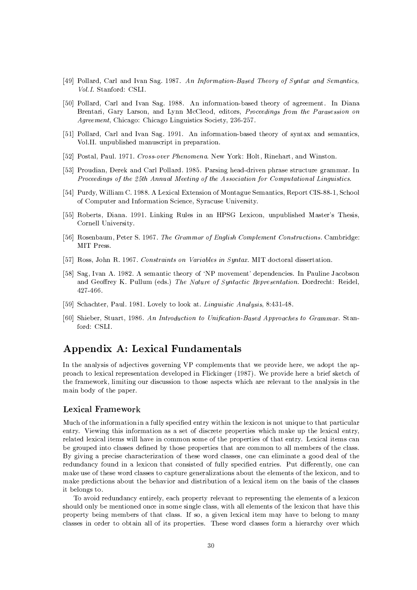- [49] Pollard, Carl and Ivan Sag. 1987. An Information-Based Theory of Syntax and Semantics, Vol.I. Stanford: CSLI.
- [50] Pollard, Carl and Ivan Sag. 1988. An information-based theory of agreement. In Diana Brentari, Gary Larson, and Lynn McCleod, editors, Proceedings from the Parasession on Agreement, Chicago: Chicago Linguistics Society, 236-257.
- [51] Pollard, Carl and Ivan Sag. 1991. An information-based theory of syntax and semantics, Vol.II. unpublished manuscript in preparation.
- [52] Postal, Paul. 1971. Cross-over Phenomena. New York: Holt, Rinehart, and Winston.
- [53] Proudian, Derek and Carl Pollard. 1985. Parsing head-driven phrase structure grammar. In Proceedings of the 25th Annual Meeting of the Association for Computational Linguistics.
- [54] Purdy, William C. 1988. A Lexical Extension of Montague Semantics, Report CIS-88-1, School of Computer and Information Science, Syracuse University.
- [55] Roberts, Diana. 1991. Linking Rules in an HPSG Lexicon, unpublished Master's Thesis, Cornell University.
- [56] Rosenbaum, Peter S. 1967. The Grammar of English Complement Constructions. Cambridge: MIT Press.
- [57] Ross, John R. 1967. Constraints on Variables in Syntax. MIT doctoral dissertation.
- [58] Sag, Ivan A. 1982. A semantic theory of 'NP movement' dependencies. In Pauline Jacobson and Geoffrey K. Pullum (eds.) The Nature of Syntactic Representation. Dordrecht: Reidel, 427-466.
- [59] Schachter, Paul. 1981. Lovely to look at. *Linguistic Analysis*, 8:431-48.
- [60] Shieber, Stuart, 1986. An Introduction to Unification-Based Approaches to Grammar. Stanford: CSLI.

# Appendix A: Lexical Fundamentals

In the analysis of adjectives governing VP complements that we provide here, we adopt the approach to lexical representation developed in Flickinger (1987). We provide here a brief sketch of the framework, limiting our discussion to those aspects which are relevant to the analysis in the main body of the paper.

## Lexical Framework

Much of the information in a fully specified entry within the lexicon is not unique to that particular entry. Viewing this information as a set of discrete properties which make up the lexical entry, related lexical items will have in common some of the properties of that entry. Lexical items can be grouped into classes defined by those properties that are common to all members of the class. By giving a precise characterization of these word classes, one can eliminate a good deal of the redundancy found in a lexicon that consisted of fully specified entries. Put differently, one can make use of these word classes to capture generalizations about the elements of the lexicon, and to make predictions about the behavior and distribution of a lexical item on the basis of the classes it belongs to.

To avoid redundancy entirely, each property relevant to representing the elements of a lexicon should only be mentioned once in some single class, with all elements of the lexicon that have this property being members of that class. If so, a given lexical item may have to belong to many classes in order to obtain all of its properties. These word classes form a hierarchy over which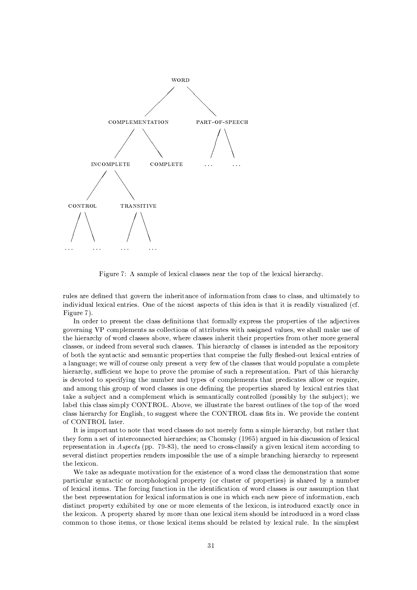

Figure 7: A sample of lexical classes near the top of the lexical hierarchy.

rules are defined that govern the inheritance of information from class to class, and ultimately to individual lexical entries. One of the nicest aspects of this idea is that it is readily visualized (cf. Figure 7).

In order to present the class definitions that formally express the properties of the adjectives governing VP complements as collections of attributes with assigned values, we shall make use of the hierarchy of word classes above, where classes inherit their properties from other more general classes, or indeed from several such classes. This hierarchy of classes is intended as the repository of both the syntactic and semantic properties that comprise the fully fleshed-out lexical entries of a language; we will of course only present a very few of the classes that would populate a complete hierarchy, sufficient we hope to prove the promise of such a representation. Part of this hierarchy is devoted to specifying the number and types of complements that predicates allow or require, and among this group of word classes is one defining the properties shared by lexical entries that take a subject and a complement which is semantically controlled (possibly by the subject); we label this class simply CONTROL. Above, we illustrate the barest outlines of the top of the word class hierarchy for English, to suggest where the CONTROL class fits in. We provide the content of CONTROL later.

It is important to note that word classes do not merely form a simple hierarchy, but rather that they form a set of interconnected hierarchies; as Chomsky (1965) argued in his discussion of lexical representation in Aspects (pp. 79-83), the need to cross-classify a given lexical item according to several distinct properties renders impossible the use of a simple branching hierarchy to represent the lexicon.

We take as a dequate motivation for the existence of a word class the demonstration that some particular syntactic or morphological property (or cluster of properties) is shared by a number of lexical items. The forcing function in the identification of word classes is our assumption that the best representation for lexical information is one in which each new piece of information, each distinct property exhibited by one or more elements of the lexicon, is introduced exactly once in the lexicon. A property shared by more than one lexical item should be introduced in a word class common to those items, or those lexical items should be related by lexical rule. In the simplest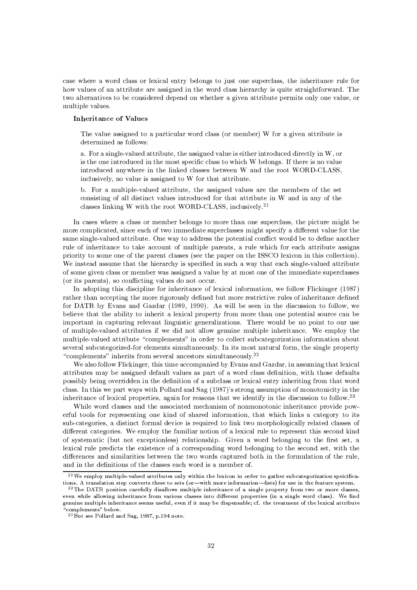case where a word class or lexical entry belongs to just one superclass, the inheritance rule for how values of an attribute are assigned in the word class hierarchy is quite straightforward. The two alternatives to be considered depend on whether a given attribute permits only one value, or multiple values.

### **Inheritance of Values**

The value assigned to a particular word class (or member) W for a given attribute is determined as follows:

a. For a single-valued attribute, the assigned value is either introduced directly in  $W$ , or is the one introduced in the most specific class to which W belongs. If there is no value introduced anywhere in the linked classes between W and the root WORD-CLASS, inclusively, no value is assigned to W for that attribute.

b. For a multiple-valued attribute, the assigned values are the members of the set consisting of all distinct values introduced for that attribute in W and in any of the classes linking W with the root WORD-CLASS, inclusively.<sup>21</sup>

In cases where a class or member belongs to more than one superclass, the picture might be more complicated, since each of two immediate superclasses might specify a different value for the same single-valued attribute. One way to address the potential conflict would be to define another rule of inheritance to take account of multiple parents, a rule which for each attribute assigns priority to some one of the parent classes (see the paper on the ISSCO lexicon in this collection). We instead assume that the hierarchy is specified in such a way that each single-valued attribute of some given class or member was assigned a value by at most one of the immediate superclasses (or its parents), so conflicting values do not occur.

In adopting this discipline for inheritance of lexical information, we follow Flickinger (1987) rather than accepting the more rigorously defined but more restrictive rules of inheritance defined for DATR by Evans and Gazdar (1989, 1990). As will be seen in the discussion to follow, we believe that the ability to inherit a lexical property from more than one potential source can be important in capturing relevant linguistic generalizations. There would be no point to our use of multiple-valued attributes if we did not allow genuine multiple inheritance. We employ the multiple-valued attribute "complements" in order to collect subcategorization information about several subcategorized-for elements simultaneously. In its most natural form, the single property "complements" inherits from several ancestors simultaneously.<sup>22</sup>

We also follow Flickinger, this time accompanied by Evans and Gazdar, in assuming that lexical attributes may be assigned default values as part of a word class definition, with those defaults possibly being overridden in the definition of a subclass or lexical entry inheriting from that word class. In this we part ways with Pollard and Sag (1987)'s strong assumption of monotonicity in the inheritance of lexical properties, again for reasons that we identify in the discussion to follow.<sup>23</sup>

While word classes and the associated mechanism of nonmonotonic inheritance provide powerful tools for representing one kind of shared information, that which links a category to its sub-categories, a distinct formal device is required to link two morphologically related classes of different categories. We employ the familiar notion of a lexical rule to represent this second kind of systematic (but not exceptionless) relationship. Given a word belonging to the first set, a lexical rule predicts the existence of a corresponding word belonging to the second set, with the differences and similarities between the two words captured both in the formulation of the rule, and in the definitions of the classes each word is a member of.

 $^{21}$  We employ multiple-valued attributes only within the lexicon in order to gather subcategorization speicifications. A translation step converts these to sets (or-with more information-lists) for use in the feature system.

 $^{22}$ The DATR position carefully disallows multiple inheritance of a single property from two or more classes, even while allowing inheritance from various classes into different properties (in a single word class). We find genuine multiple inheritance seems useful, even if it may be dispensable; cf. the treatment of the lexical attribute "complements" below.

<sup>&</sup>lt;sup>23</sup> But see Pollard and Sag, 1987, p.194 note.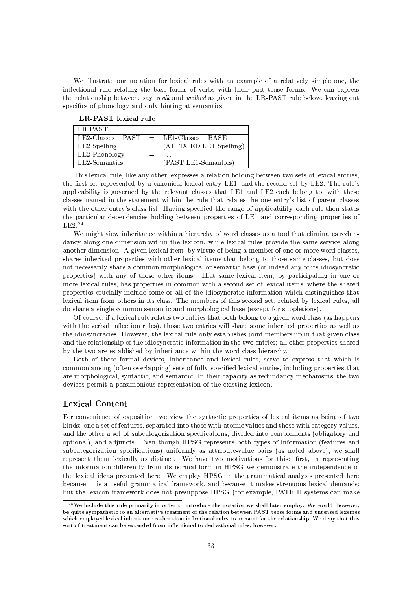We illustrate our notation for lexical rules with an example of a relatively simple one, the inflectional rule relating the base forms of verbs with their past tense forms. We can express the relationship between, say, walk and walked as given in the LR-PAST rule below, leaving out specifics of phonology and only hinting at semantics.

LR-PAST lexical rule

| LE-PAST)                  |     |                             |
|---------------------------|-----|-----------------------------|
| $\mid$ LE2-Classes – PAST |     | $=$ LE1-Classes - BASE      |
| LE2-Spelling              |     | $=$ (AFFIX-ED LE1-Spelling) |
| LE2-Phonology             |     |                             |
| LE2-Semantics             | $=$ | (PAST LE1-Semantics)        |

This lexical rule, like any other, expresses a relation holding between two sets of lexical entries, the first set represented by a canonical lexical entry LE1, and the second set by LE2. The rule's applicability is governed by the relevant classes that LE1 and LE2 each belong to, with these classes named in the statement within the rule that relates the one entry's list of parent classes with the other entry's class list. Having specified the range of applicability, each rule then states the particular dependencies holding between properties of LE1 and corresponding properties of  $LE2.24$ 

We might view inheritance within a hierarchy of word classes as a tool that eliminates redundancy along one dimension within the lexicon, while lexical rules provide the same service along another dimension. A given lexical item, by virtue of being a member of one or more word classes, shares inherited properties with other lexical items that belong to those same classes, but does not necessarily share a common morphological or semantic base (or indeed any of its idiosyncratic properties) with any of those other items. That same lexical item, by participating in one or more lexical rules, has properties in common with a second set of lexical items, where the shared properties crucially include some or all of the idiosyncratic information which distinguishes that lexical item from others in its class. The members of this second set, related by lexical rules, all do share a single common semantic and morphological base (except for suppletions).

Of course, if a lexical rule relates two entries that both belong to a given word class (as happens with the verbal inflection rules), those two entries will share some inherited properties as well as the idiosyncracies. However, the lexical rule only establishes joint membership in that given class and the relationship of the idiosyncratic information in the two entries; all other properties shared by the two are established by inheritance within the word class hierarchy.

Both of these formal devices, inheritance and lexical rules, serve to express that which is common among (often overlapping) sets of fully-specified lexical entries, including properties that are morphological, syntactic, and semantic. In their capacity as redundancy mechanisms, the two devices permit a parsimonious representation of the existing lexicon.

# **Lexical Content**

For convenience of exposition, we view the syntactic properties of lexical items as being of two kinds: one a set of features, separated into those with atomic values and those with category values, and the other a set of subcategorization specifications, divided into complements (obligatory and optional), and adjuncts. Even though HPSG represents both types of information (features and subcategorization specifications) uniformly as attribute-value pairs (as noted above), we shall represent them lexically as distinct. We have two motivations for this: first, in representing the information differently from its normal form in HPSG we demonstrate the independence of the lexical ideas presented here. We employ HPSG in the grammatical analysis presented here because it is a useful grammatical framework, and because it makes strenuous lexical demands; but the lexicon framework does not presuppose HPSG (for example, PATR-II systems can make

 $^{24}$ We include this rule primarily in order to introduce the notation we shall later employ. We would, however, be quite sympathetic to an alternative treatment of the relation between PAST tense forms and untensed lexemes which employed lexical inheritance rather than inflectional rules to account for the relationship. We deny that this sort of treatment can be extended from inflectional to derivational rules, however.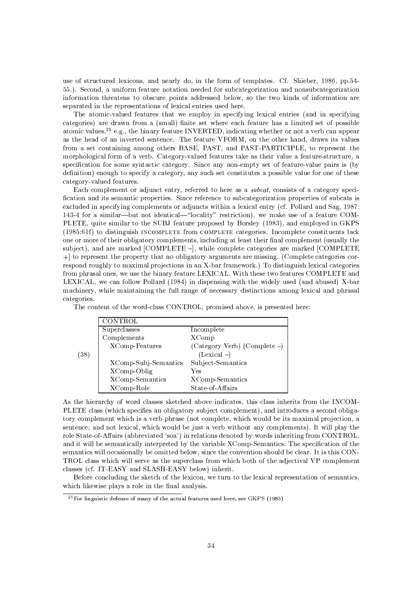use of structured lexicons, and nearly do, in the form of templates. Cf. Shieber, 1986, pp.54-55.). Second, a uniform feature notation needed for subcategorization and nonsubcategorization information threatens to obscure points addressed below, so the two kinds of information are separated in the representations of lexical entries used here.

The atomic-valued features that we employ in specifying lexical entries (and in specifying categories) are drawn from a (small) finite set where each feature has a limited set of possible atomic values,  $2^5$  e.g., the binary feature INVERTED, indicating whether or not a verb can appear as the head of an inverted sentence. The feature VFORM, on the other hand, draws its values from a set containing among others BASE, PAST, and PAST-PARTICIPLE, to represent the morphological form of a verb. Category-valued features take as their value a feature-structure, a specification for some syntactic category. Since any non-empty set of feature-value pairs is (by definition) enough to specify a category, any such set constitutes a possible value for one of these category-valued features.

Each complement or adjunct entry, referred to here as a *subcat*, consists of a category specification and its semantic properties. Since reference to subcategorization properties of subcats is excluded in specifying complements or adjuncts within a lexical entry (cf. Pollard and Sag, 1987: 143-4 for a similar—but not identical—"locality" restriction), we make use of a feature COM-PLETE, quite similar to the SUBJ feature proposed by Borsley (1983), and employed in GKPS (1985:61f) to distinguish INCOMPLETE from COMPLETE categories. Incomplete constituents lack one or more of their obligatory complements, including at least their final complement (usually the subject), and are marked [COMPLETE -], while complete categories are marked [COMPLETE  $+$  to represent the property that no obligatory arguments are missing. (Complete categories correspond roughly to maximal projections in an X-bar framework.) To distinguish lexical categories from phrasal ones, we use the binary feature LEXICAL. With these two features COMPLETE and LEXICAL, we can follow Pollard (1984) in dispensing with the widely used (and abused) X-bar machinery, while maintaining the full range of necessary distinctions among lexical and phrasal categories.

|           | CONTROL                |                                 |
|-----------|------------------------|---------------------------------|
|           | Superclasses           | Incomplete                      |
|           | Complements            | <b>XComp</b>                    |
|           | XComp-Features         | (Category Verb) (Complete $-$ ) |
| $^{(38)}$ |                        | $(Lexical -)$                   |
|           | XComp-Subj-Semantics   | Subject-Semantics               |
|           | XComp-Oblig            | Yes                             |
|           | <b>XComp-Semantics</b> | <b>XComp-Semantics</b>          |
|           | XComp-Role             | State-of-Affairs                |

The content of the word-class CONTROL, promised above, is presented here:

As the hierarchy of word classes sketched above indicates, this class inherits from the INCOM-PLETE class (which specifies an obligatory subject complement), and introduces a second obligatory complement which is a verb phrase (not complete, which would be its maximal projection, a sentence; and not lexical, which would be just a verb without any complements). It will play the role State-of-Affairs (abbreviated 'soa') in relations denoted by words inheriting from CONTROL, and it will be semantically interpreted by the variable XComp-Semantics. The specification of the semantics will occasionally be omitted below, since the convention should be clear. It is this CON-TROL class which will serve as the superclass from which both of the adjectival VP complement classes (cf. IT-EASY and SLASH-EASY below) inherit.

Before concluding the sketch of the lexicon, we turn to the lexical representation of semantics, which likewise plays a role in the final analysis.

<sup>&</sup>lt;sup>25</sup> For linguistic defense of many of the actual features used here, see GKPS (1985)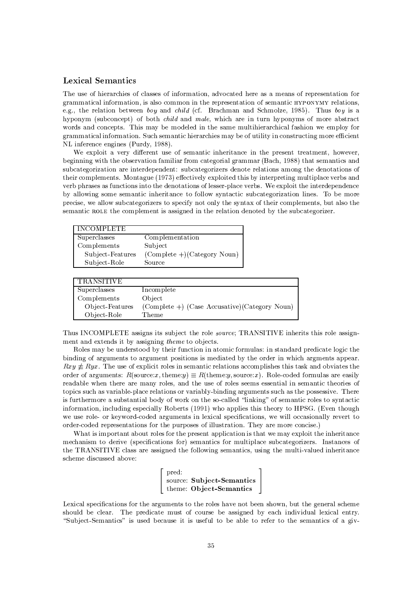# **Lexical Semantics**

The use of hierarchies of classes of information, advocated here as a means of representation for grammatical information, is also common in the representation of semantic HYPONYMY relations, e.g., the relation between boy and child (cf. Brachman and Schmolze, 1985). Thus boy is a hyponym (subconcept) of both *child* and *male*, which are in turn hyponyms of more abstract words and concepts. This may be modeled in the same multihierarchical fashion we employ for grammatical information. Such semantic hierarchies may be of utility in constructing more efficient NL inference engines (Purdy, 1988).

We exploit a very different use of semantic inheritance in the present treatment, however, beginning with the observation familiar from categorial grammar (Bach, 1988) that semantics and subcategorization are interdependent: subcategorizers denote relations among the denotations of their complements. Montague (1973) effectively exploited this by interpreting multiplace verbs and verb phrases as functions into the denotations of lesser-place verbs. We exploit the interdependence by allowing some semantic inheritance to follow syntactic subcategorization lines. To be more precise, we allow subcategorizers to specify not only the syntax of their complements, but also the semantic ROLE the complement is assigned in the relation denoted by the subcategorizer.

| INCOMPLETE       |                               |
|------------------|-------------------------------|
| Superclasses     | Complementation               |
| Complements      | Subject                       |
| Subject-Features | $(Complete +)(Category Noun)$ |
| Subject-Role     | Source                        |

| <b>TRANSITIVE</b> |                                                 |
|-------------------|-------------------------------------------------|
| Superclasses      | Incomplete                                      |
| Complements       | Object.                                         |
| Object-Features   | $(Complete +)$ (Case Accusative)(Category Noun) |
| Object-Role       | Theme                                           |

Thus INCOMPLETE assigns its subject the role source; TRANSITIVE inherits this role assignment and extends it by assigning theme to objects.

Roles may be understood by their function in atomic formulas: in standard predicate logic the binding of arguments to argument positions is mediated by the order in which argments appear.  $Rxy \neq Ryx$ . The use of explicit roles in semantic relations accomplishes this task and obviates the order of arguments:  $R(\text{source}:x,\text{theme}:y) \equiv R(\text{theme}:y,\text{source}:x)$ . Role-coded formulas are easily readable when there are many roles, and the use of roles seems essential in semantic theories of topics such as variable-place relations or variably-binding arguments such as the possessive. There is furthermore a substantial body of work on the so-called "linking" of semantic roles to syntactic information, including especially Roberts (1991) who applies this theory to HPSG. (Even though we use role- or keyword-coded arguments in lexical specifications, we will occasionally revert to order-coded representations for the purposes of illustration. They are more concise.)

What is important about roles for the present application is that we may exploit the inheritance mechanism to derive (specifications for) semantics for multiplace subcategorizers. Instances of the TRANSITIVE class are assigned the following semantics, using the multi-valued inheritance scheme discussed above:

| $\lceil$ pred: |                           |
|----------------|---------------------------|
|                | source: Subject-Semantics |
|                | theme: Object-Semantics   |

Lexical specifications for the arguments to the roles have not been shown, but the general scheme should be clear. The predicate must of course be assigned by each individual lexical entry. "Subject-Semantics" is used because it is useful to be able to refer to the semantics of a giv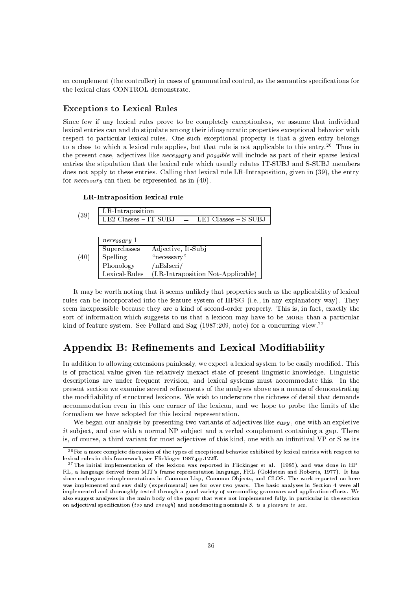en complement (the controller) in cases of grammatical control, as the semantics specifications for the lexical class CONTROL demonstrate.

## **Exceptions to Lexical Rules**

Since few if any lexical rules prove to be completely exceptionless, we assume that individual lexical entries can and do stipulate among their idiosyncratic properties exceptional behavior with respect to particular lexical rules. One such exceptional property is that a given entry belongs to a class to which a lexical rule applies, but that rule is not applicable to this entry.<sup>26</sup> Thus in the present case, adjectives like *necessary* and *possible* will include as part of their sparse lexical entries the stipulation that the lexical rule which usually relates IT-SUBJ and S-SUBJ members does not apply to these entries. Calling that lexical rule LR-Intraposition, given in (39), the entry for *necessary* can then be represented as in  $(40)$ .

| LR-Intraposition lexical rule |  |  |
|-------------------------------|--|--|
|-------------------------------|--|--|

| (39) | LR-Intraposition                                                                       |                                                 | $LE2-Classes - IT-SUBJ = LE1-Classes - S-SUBJ$ |  |
|------|----------------------------------------------------------------------------------------|-------------------------------------------------|------------------------------------------------|--|
| (40) | $necessary+1$<br>Superclasses<br>Spelling<br>Phonology<br>${\rm Lexical\text{-}Rules}$ | Adjective, It-Subj<br>"necessary"<br>/nEsIseri/ | (LR-Intraposition Not-Applicable)              |  |

It may be worth noting that it seems unlikely that properties such as the applicability of lexical rules can be incorporated into the feature system of HPSG (i.e., in any explanatory way). They seem inexpressible because they are a kind of second-order property. This is, in fact, exactly the sort of information which suggests to us that a lexicon may have to be MORE than a particular kind of feature system. See Pollard and Sag (1987:209, note) for a concurring view.<sup>27</sup>

# Appendix B: Refinements and Lexical Modifiability

In addition to allowing extensions painlessly, we expect a lexical system to be easily modified. This is of practical value given the relatively inexact state of present linguistic knowledge. Linguistic descriptions are under frequent revision, and lexical systems must accommodate this. In the present section we examine several refinements of the analyses above as a means of demonstrating the modifiability of structured lexicons. We wish to underscore the richness of detail that demands accommodation even in this one corner of the lexicon, and we hope to probe the limits of the formalism we have adopted for this lexical representation.

We began our analysis by presenting two variants of adjectives like easy, one with an expletive *it* subject, and one with a normal NP subject and a verbal complement containing a gap. There is, of course, a third variant for most adjectives of this kind, one with an infinitival VP or S as its

<sup>&</sup>lt;sup>26</sup> For a more complete discussion of the types of exceptional behavior exhibited by lexical entries with respect to lexical rules in this framework, see Flickinger 1987.pp.122ff.

<sup>&</sup>lt;sup>27</sup>The initial implementation of the lexicon was reported in Flickinger et al. (1985), and was done in HP-RL, a language derived from MIT's frame representation language, FRL (Goldstein and Roberts, 1977). It has since undergone reimplementations in Common Lisp, Common Objects, and CLOS. The work reported on here was implemented and saw daily (experimental) use for over two years. The basic analyses in Section 4 were all implemented and thoroughly tested through a good variety of surrounding grammars and application efforts. We also suggest analyses in the main body of the paper that were not implemented fully, in particular in the section on adjectival specification (too and enough) and nondenoting nominals  $S$ . is a pleasure to see.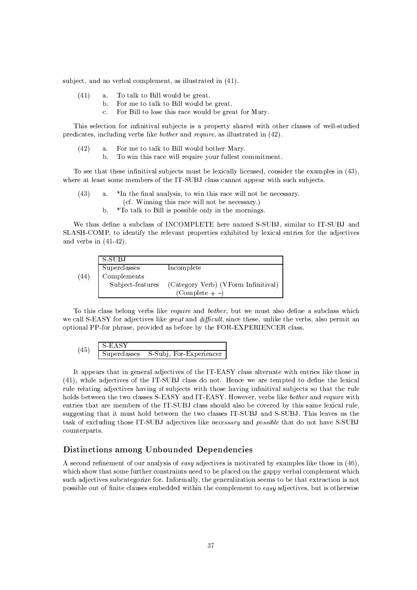subject, and no verbal complement, as illustrated in (41).

- $(41)$ To talk to Bill would be great.  $\mathbf{a}$ .
	- b. For me to talk to Bill would be great.
		- For Bill to lose this race would be great for Mary.  $\mathbf{c}$ .

This selection for infinitival subjects is a property shared with other classes of well-studied predicates, including verbs like *bother* and *require*, as illustrated in (42).

- $(42)$ a. For me to talk to Bill would bother Mary.
	- $<sub>b</sub>$ </sub> To win this race will require your fullest commitment.

To see that these infinitival subjects must be lexically licensed, consider the examples in (43), where at least some members of the IT-SUBJ class cannot appear with such subjects.

- $(43)$  $\mathbf{a}$ . \*In the final analysis, to win this race will not be necessary.
	- (cf. Winning this race will not be necessary.)
	- \*To talk to Bill is possible only in the mornings.  $\mathbf b$ .

We thus define a subclass of INCOMPLETE here named S-SUBJ, similar to IT-SUBJ and SLASH-COMP, to identify the relevant properties exhibited by lexical entries for the adjectives and verbs in  $(41-42)$ .

|      | S-SUBJ           |                                     |
|------|------------------|-------------------------------------|
|      | Superclasses     | Incomplete                          |
| (44) | Complements      |                                     |
|      | Subject-features | (Category Verb) (VForm Infinitival) |
|      |                  | $(Complete + -)$                    |

To this class belong verbs like *require* and *bother*, but we must also define a subclass which we call S-EASY for adjectives like *great* and *difficult*, since these, unlike the verbs, also permit an optional PP-for phrase, provided as before by the FOR-EXPERIENCER class.

$$
(45) \quad \frac{\text{S-EASY}}{\text{Superclasses}} \quad \text{S-Subj, For-Experiment}
$$

It appears that in general adjectives of the IT-EASY class alternate with entries like those in (41), while adjectives of the IT-SUBJ class do not. Hence we are tempted to define the lexical rule relating adjectives having it subjects with those having infinitival subjects so that the rule holds between the two classes S-EASY and IT-EASY. However, verbs like bother and require with entries that are members of the IT-SUBJ class should also be covered by this same lexical rule. suggesting that it must hold between the two classes IT-SUBJ and S-SUBJ. This leaves us the task of excluding those IT-SUBJ adjectives like *necessary* and *possible* that do not have S-SUBJ counterparts.

## Distinctions among Unbounded Dependencies

A second refinement of our analysis of easy adjectives is motivated by examples like those in (46), which show that some further constraints need to be placed on the gappy verbal complement which such adjectives subcategorize for. Informally, the generalization seems to be that extraction is not possible out of finite clauses embedded within the complement to easy adjectives, but is otherwise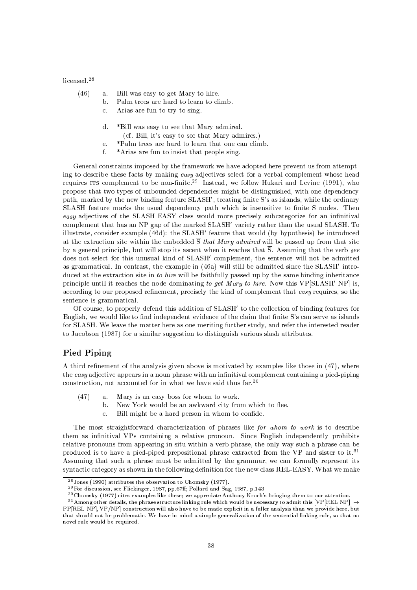licensed.<sup>28</sup>

- $(46)$ Bill was easy to get Mary to hire.  $a.$ 
	- $<sub>b</sub>$ </sub> Palm trees are hard to learn to climb.
	- $\mathbf{c}$ . Arias are fun to try to sing.
	- d. \*Bill was easy to see that Mary admired.
		- (cf. Bill, it's easy to see that Mary admires.)
	- \*Palm trees are hard to learn that one can climb.  $\epsilon$
	- $\mathbf{f}$ \*Arias are fun to insist that people sing.

General constraints imposed by the framework we have adopted here prevent us from attempting to describe these facts by making easy adjectives select for a verbal complement whose head requires ITS complement to be non-finite.<sup>29</sup> Instead, we follow Hukari and Levine (1991), who propose that two types of unbounded dependencies might be distinguished, with one dependency path, marked by the new binding feature SLASH', treating finite S's as islands, while the ordinary SLASH feature marks the usual dependency path which is insensitive to finite S nodes. Then easy adjectives of the SLASH-EASY class would more precisely subcategorize for an infinitival complement that has an NP gap of the marked SLASH' variety rather than the usual SLASH. To illustrate, consider example (46d): the SLASH' feature that would (by hypothesis) be introduced at the extraction site within the embedded  $\overline{S}$  that Mary admired will be passed up from that site by a general principle, but will stop its ascent when it reaches that  $\overline{S}$ . Assuming that the verb see does not select for this unusual kind of SLASH' complement, the sentence will not be admitted as grammatical. In contrast, the example in (46a) will still be admitted since the SLASH' introduced at the extraction site in to hire will be faithfully passed up by the same binding inheritance principle until it reaches the node dominating to get Mary to hire. Now this VP[SLASH' NP] is, according to our proposed refinement, precisely the kind of complement that easy requires, so the sentence is grammatical.

Of course, to properly defend this addition of SLASH' to the collection of binding features for English, we would like to find independent evidence of the claim that finite S's can serve as islands for SLASH. We leave the matter here as one meriting further study, and refer the interested reader to Jacobson (1987) for a similar suggestion to distinguish various slash attributes.

# Pied Piping

A third refinement of the analysis given above is motivated by examples like those in (47), where the easy adjective appears in a noun phrase with an infinitival complement containing a pied-piping construction, not accounted for in what we have said thus far.<sup>30</sup>

- $(47)$ Mary is an easy boss for whom to work.  $\mathbf{a}$ .
	- $\mathbf b$ . New York would be an awkward city from which to flee.
	- $\overline{c}$ . Bill might be a hard person in whom to confide.

The most straightforward characterization of phrases like for whom to work is to describe them as infinitival VPs containing a relative pronoun. Since English independently prohibits relative pronouns from appearing in situ within a verb phrase, the only way such a phrase can be produced is to have a pied-piped prepositional phrase extracted from the VP and sister to it.<sup>31</sup> Assuming that such a phrase must be admitted by the grammar, we can formally represent its syntactic category as shown in the following definition for the new class REL-EASY. What we make

 $28$  Jones (1990) attributes the observation to Chomsky (1977).

<sup>&</sup>lt;sup>29</sup> For discussion, see Flickinger, 1987, pp.67ff; Pollard and Sag, 1987, p.143

<sup>&</sup>lt;sup>30</sup>Chomsky (1977) cites examples like these; we appreciate Anthony Kroch's bringing them to our attention.

<sup>31</sup> Among other details, the phrase structure linking rule which would be necessary to admit this [VP[REL NP]  $\rightarrow$ PP[REL NP], VP/NP] construction will also have to be made explicit in a fuller analysis than we provide here, but that should not be problematic. We have in mind a simple generalization of the sentential linking rule, so that no novel rule would be required.